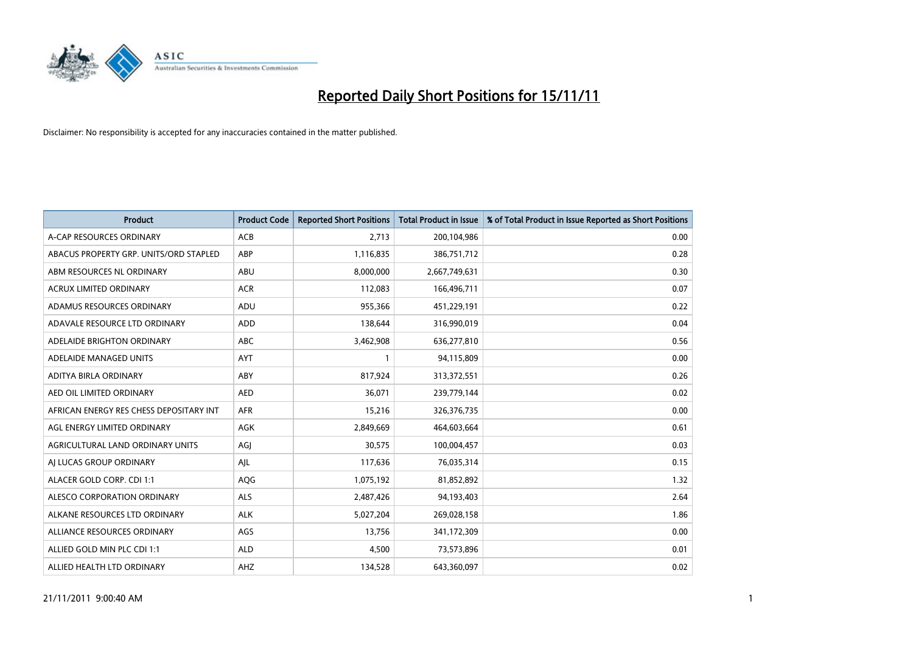

| <b>Product</b>                          | <b>Product Code</b> | <b>Reported Short Positions</b> | Total Product in Issue | % of Total Product in Issue Reported as Short Positions |
|-----------------------------------------|---------------------|---------------------------------|------------------------|---------------------------------------------------------|
| A-CAP RESOURCES ORDINARY                | <b>ACB</b>          | 2.713                           | 200,104,986            | 0.00                                                    |
| ABACUS PROPERTY GRP. UNITS/ORD STAPLED  | ABP                 | 1,116,835                       | 386,751,712            | 0.28                                                    |
| ABM RESOURCES NL ORDINARY               | <b>ABU</b>          | 8,000,000                       | 2,667,749,631          | 0.30                                                    |
| ACRUX LIMITED ORDINARY                  | <b>ACR</b>          | 112,083                         | 166,496,711            | 0.07                                                    |
| ADAMUS RESOURCES ORDINARY               | ADU                 | 955,366                         | 451,229,191            | 0.22                                                    |
| ADAVALE RESOURCE LTD ORDINARY           | ADD                 | 138,644                         | 316,990,019            | 0.04                                                    |
| ADELAIDE BRIGHTON ORDINARY              | ABC                 | 3,462,908                       | 636,277,810            | 0.56                                                    |
| ADELAIDE MANAGED UNITS                  | <b>AYT</b>          |                                 | 94,115,809             | 0.00                                                    |
| ADITYA BIRLA ORDINARY                   | ABY                 | 817,924                         | 313,372,551            | 0.26                                                    |
| AED OIL LIMITED ORDINARY                | <b>AED</b>          | 36,071                          | 239,779,144            | 0.02                                                    |
| AFRICAN ENERGY RES CHESS DEPOSITARY INT | <b>AFR</b>          | 15,216                          | 326,376,735            | 0.00                                                    |
| AGL ENERGY LIMITED ORDINARY             | AGK                 | 2,849,669                       | 464,603,664            | 0.61                                                    |
| AGRICULTURAL LAND ORDINARY UNITS        | AGJ                 | 30,575                          | 100,004,457            | 0.03                                                    |
| AI LUCAS GROUP ORDINARY                 | AJL                 | 117,636                         | 76,035,314             | 0.15                                                    |
| ALACER GOLD CORP. CDI 1:1               | AQG                 | 1,075,192                       | 81,852,892             | 1.32                                                    |
| ALESCO CORPORATION ORDINARY             | <b>ALS</b>          | 2,487,426                       | 94,193,403             | 2.64                                                    |
| ALKANE RESOURCES LTD ORDINARY           | <b>ALK</b>          | 5,027,204                       | 269,028,158            | 1.86                                                    |
| ALLIANCE RESOURCES ORDINARY             | AGS                 | 13,756                          | 341,172,309            | 0.00                                                    |
| ALLIED GOLD MIN PLC CDI 1:1             | <b>ALD</b>          | 4,500                           | 73,573,896             | 0.01                                                    |
| ALLIED HEALTH LTD ORDINARY              | AHZ                 | 134,528                         | 643,360,097            | 0.02                                                    |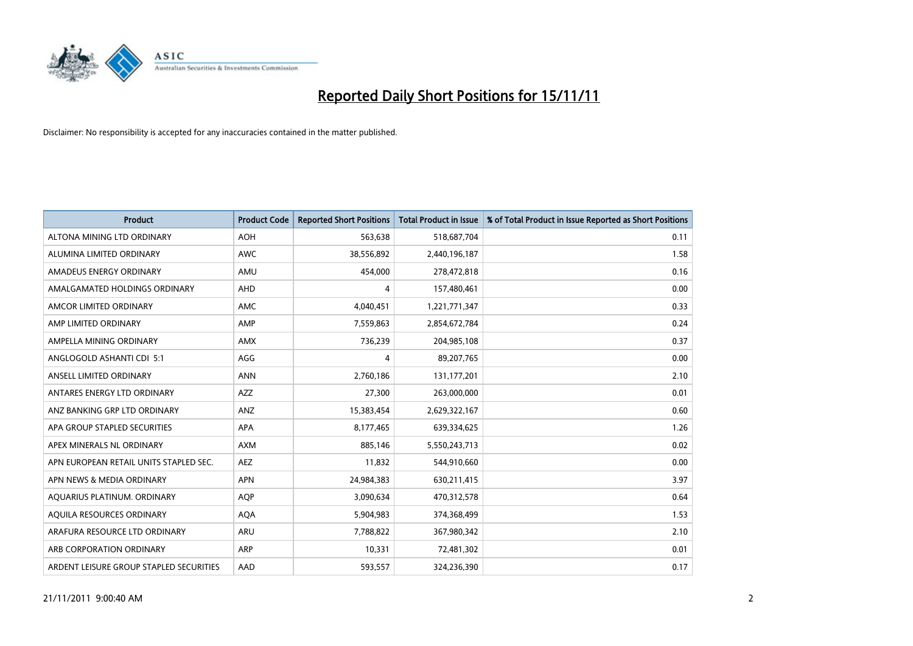

| <b>Product</b>                          | <b>Product Code</b> | <b>Reported Short Positions</b> | Total Product in Issue | % of Total Product in Issue Reported as Short Positions |
|-----------------------------------------|---------------------|---------------------------------|------------------------|---------------------------------------------------------|
| ALTONA MINING LTD ORDINARY              | <b>AOH</b>          | 563,638                         | 518,687,704            | 0.11                                                    |
| ALUMINA LIMITED ORDINARY                | <b>AWC</b>          | 38,556,892                      | 2,440,196,187          | 1.58                                                    |
| AMADEUS ENERGY ORDINARY                 | AMU                 | 454,000                         | 278,472,818            | 0.16                                                    |
| AMALGAMATED HOLDINGS ORDINARY           | <b>AHD</b>          | 4                               | 157,480,461            | 0.00                                                    |
| AMCOR LIMITED ORDINARY                  | AMC                 | 4,040,451                       | 1,221,771,347          | 0.33                                                    |
| AMP LIMITED ORDINARY                    | AMP                 | 7,559,863                       | 2,854,672,784          | 0.24                                                    |
| AMPELLA MINING ORDINARY                 | <b>AMX</b>          | 736,239                         | 204,985,108            | 0.37                                                    |
| ANGLOGOLD ASHANTI CDI 5:1               | AGG                 | 4                               | 89,207,765             | 0.00                                                    |
| ANSELL LIMITED ORDINARY                 | <b>ANN</b>          | 2,760,186                       | 131,177,201            | 2.10                                                    |
| ANTARES ENERGY LTD ORDINARY             | <b>AZZ</b>          | 27,300                          | 263,000,000            | 0.01                                                    |
| ANZ BANKING GRP LTD ORDINARY            | ANZ                 | 15,383,454                      | 2,629,322,167          | 0.60                                                    |
| APA GROUP STAPLED SECURITIES            | <b>APA</b>          | 8,177,465                       | 639,334,625            | 1.26                                                    |
| APEX MINERALS NL ORDINARY               | <b>AXM</b>          | 885,146                         | 5,550,243,713          | 0.02                                                    |
| APN EUROPEAN RETAIL UNITS STAPLED SEC.  | <b>AEZ</b>          | 11,832                          | 544,910,660            | 0.00                                                    |
| APN NEWS & MEDIA ORDINARY               | <b>APN</b>          | 24,984,383                      | 630,211,415            | 3.97                                                    |
| AQUARIUS PLATINUM. ORDINARY             | <b>AOP</b>          | 3,090,634                       | 470,312,578            | 0.64                                                    |
| AQUILA RESOURCES ORDINARY               | <b>AQA</b>          | 5,904,983                       | 374,368,499            | 1.53                                                    |
| ARAFURA RESOURCE LTD ORDINARY           | <b>ARU</b>          | 7,788,822                       | 367,980,342            | 2.10                                                    |
| ARB CORPORATION ORDINARY                | ARP                 | 10,331                          | 72,481,302             | 0.01                                                    |
| ARDENT LEISURE GROUP STAPLED SECURITIES | AAD                 | 593,557                         | 324,236,390            | 0.17                                                    |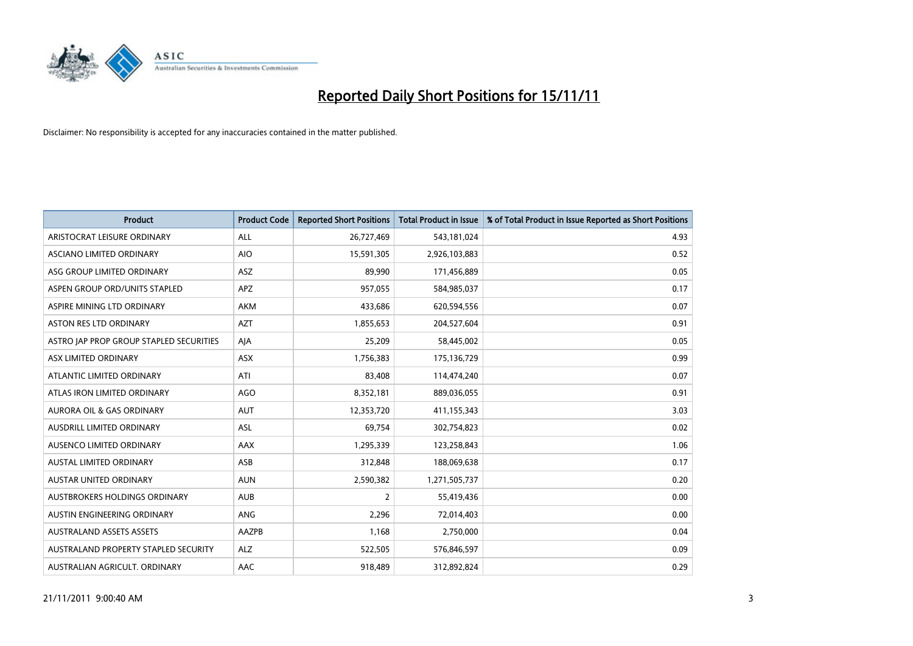

| <b>Product</b>                          | <b>Product Code</b> | <b>Reported Short Positions</b> | <b>Total Product in Issue</b> | % of Total Product in Issue Reported as Short Positions |
|-----------------------------------------|---------------------|---------------------------------|-------------------------------|---------------------------------------------------------|
| ARISTOCRAT LEISURE ORDINARY             | ALL                 | 26,727,469                      | 543,181,024                   | 4.93                                                    |
| <b>ASCIANO LIMITED ORDINARY</b>         | <b>AIO</b>          | 15,591,305                      | 2,926,103,883                 | 0.52                                                    |
| ASG GROUP LIMITED ORDINARY              | <b>ASZ</b>          | 89,990                          | 171,456,889                   | 0.05                                                    |
| ASPEN GROUP ORD/UNITS STAPLED           | <b>APZ</b>          | 957,055                         | 584,985,037                   | 0.17                                                    |
| ASPIRE MINING LTD ORDINARY              | <b>AKM</b>          | 433.686                         | 620,594,556                   | 0.07                                                    |
| <b>ASTON RES LTD ORDINARY</b>           | <b>AZT</b>          | 1,855,653                       | 204,527,604                   | 0.91                                                    |
| ASTRO JAP PROP GROUP STAPLED SECURITIES | AIA                 | 25,209                          | 58,445,002                    | 0.05                                                    |
| ASX LIMITED ORDINARY                    | <b>ASX</b>          | 1,756,383                       | 175,136,729                   | 0.99                                                    |
| ATLANTIC LIMITED ORDINARY               | ATI                 | 83,408                          | 114,474,240                   | 0.07                                                    |
| ATLAS IRON LIMITED ORDINARY             | <b>AGO</b>          | 8,352,181                       | 889,036,055                   | 0.91                                                    |
| <b>AURORA OIL &amp; GAS ORDINARY</b>    | <b>AUT</b>          | 12,353,720                      | 411,155,343                   | 3.03                                                    |
| <b>AUSDRILL LIMITED ORDINARY</b>        | <b>ASL</b>          | 69,754                          | 302,754,823                   | 0.02                                                    |
| <b>AUSENCO LIMITED ORDINARY</b>         | <b>AAX</b>          | 1,295,339                       | 123,258,843                   | 1.06                                                    |
| <b>AUSTAL LIMITED ORDINARY</b>          | ASB                 | 312,848                         | 188,069,638                   | 0.17                                                    |
| AUSTAR UNITED ORDINARY                  | <b>AUN</b>          | 2,590,382                       | 1,271,505,737                 | 0.20                                                    |
| <b>AUSTBROKERS HOLDINGS ORDINARY</b>    | <b>AUB</b>          | 2                               | 55,419,436                    | 0.00                                                    |
| <b>AUSTIN ENGINEERING ORDINARY</b>      | <b>ANG</b>          | 2,296                           | 72,014,403                    | 0.00                                                    |
| <b>AUSTRALAND ASSETS ASSETS</b>         | AAZPB               | 1,168                           | 2,750,000                     | 0.04                                                    |
| AUSTRALAND PROPERTY STAPLED SECURITY    | <b>ALZ</b>          | 522,505                         | 576,846,597                   | 0.09                                                    |
| AUSTRALIAN AGRICULT. ORDINARY           | AAC                 | 918.489                         | 312,892,824                   | 0.29                                                    |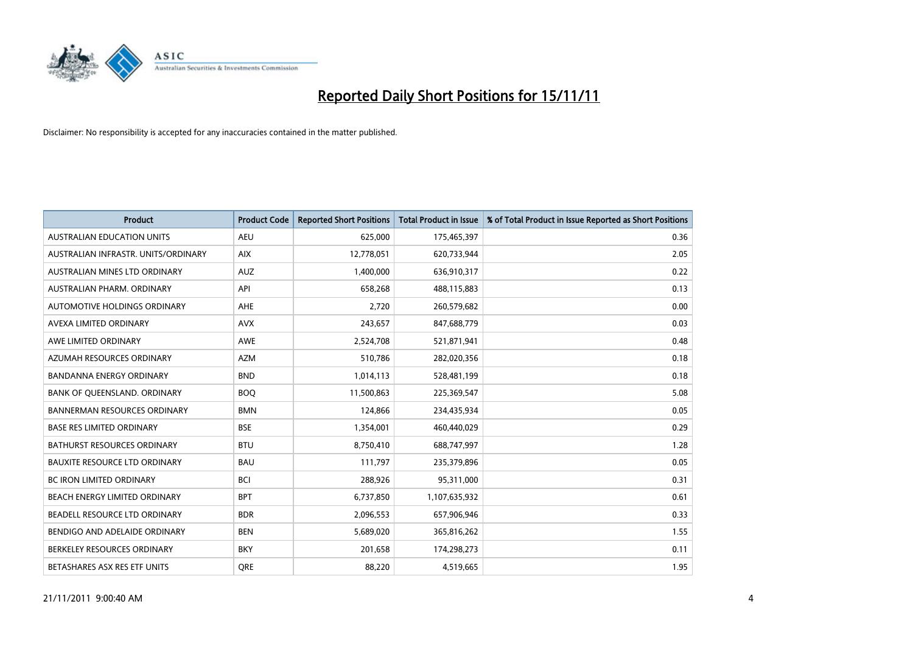

| <b>Product</b>                       | <b>Product Code</b> | <b>Reported Short Positions</b> | Total Product in Issue | % of Total Product in Issue Reported as Short Positions |
|--------------------------------------|---------------------|---------------------------------|------------------------|---------------------------------------------------------|
| <b>AUSTRALIAN EDUCATION UNITS</b>    | <b>AEU</b>          | 625,000                         | 175,465,397            | 0.36                                                    |
| AUSTRALIAN INFRASTR. UNITS/ORDINARY  | <b>AIX</b>          | 12,778,051                      | 620,733,944            | 2.05                                                    |
| AUSTRALIAN MINES LTD ORDINARY        | <b>AUZ</b>          | 1,400,000                       | 636,910,317            | 0.22                                                    |
| AUSTRALIAN PHARM. ORDINARY           | API                 | 658,268                         | 488,115,883            | 0.13                                                    |
| AUTOMOTIVE HOLDINGS ORDINARY         | AHE                 | 2,720                           | 260,579,682            | 0.00                                                    |
| AVEXA LIMITED ORDINARY               | <b>AVX</b>          | 243,657                         | 847,688,779            | 0.03                                                    |
| AWE LIMITED ORDINARY                 | AWE                 | 2,524,708                       | 521,871,941            | 0.48                                                    |
| AZUMAH RESOURCES ORDINARY            | <b>AZM</b>          | 510,786                         | 282,020,356            | 0.18                                                    |
| BANDANNA ENERGY ORDINARY             | <b>BND</b>          | 1,014,113                       | 528,481,199            | 0.18                                                    |
| BANK OF QUEENSLAND. ORDINARY         | <b>BOQ</b>          | 11,500,863                      | 225,369,547            | 5.08                                                    |
| <b>BANNERMAN RESOURCES ORDINARY</b>  | <b>BMN</b>          | 124,866                         | 234,435,934            | 0.05                                                    |
| <b>BASE RES LIMITED ORDINARY</b>     | <b>BSE</b>          | 1,354,001                       | 460,440,029            | 0.29                                                    |
| <b>BATHURST RESOURCES ORDINARY</b>   | <b>BTU</b>          | 8,750,410                       | 688,747,997            | 1.28                                                    |
| <b>BAUXITE RESOURCE LTD ORDINARY</b> | <b>BAU</b>          | 111,797                         | 235,379,896            | 0.05                                                    |
| <b>BC IRON LIMITED ORDINARY</b>      | <b>BCI</b>          | 288,926                         | 95,311,000             | 0.31                                                    |
| BEACH ENERGY LIMITED ORDINARY        | <b>BPT</b>          | 6,737,850                       | 1,107,635,932          | 0.61                                                    |
| BEADELL RESOURCE LTD ORDINARY        | <b>BDR</b>          | 2,096,553                       | 657,906,946            | 0.33                                                    |
| BENDIGO AND ADELAIDE ORDINARY        | <b>BEN</b>          | 5,689,020                       | 365,816,262            | 1.55                                                    |
| BERKELEY RESOURCES ORDINARY          | <b>BKY</b>          | 201,658                         | 174,298,273            | 0.11                                                    |
| BETASHARES ASX RES ETF UNITS         | <b>ORE</b>          | 88,220                          | 4,519,665              | 1.95                                                    |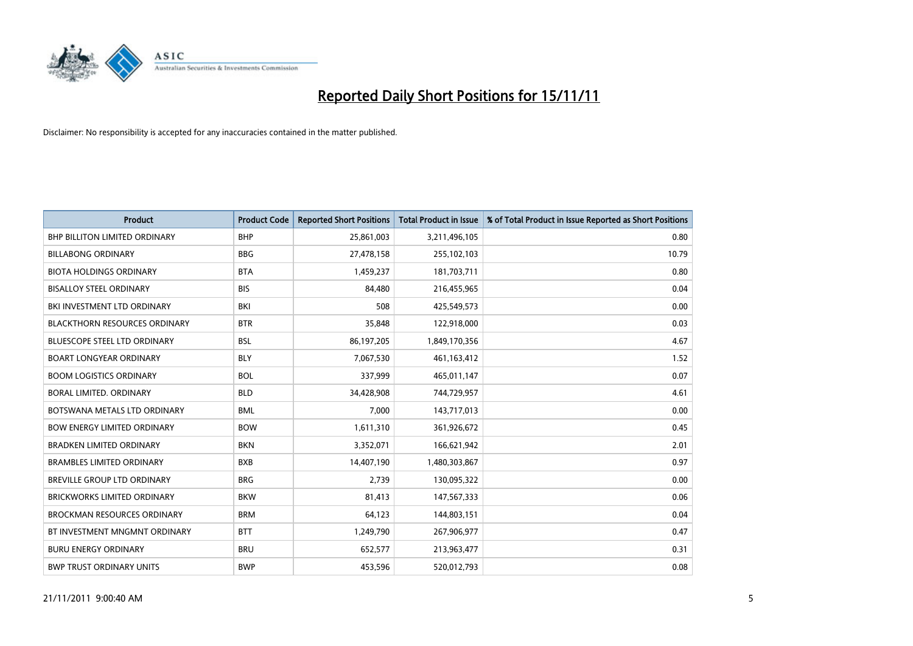

| <b>Product</b>                       | <b>Product Code</b> | <b>Reported Short Positions</b> | <b>Total Product in Issue</b> | % of Total Product in Issue Reported as Short Positions |
|--------------------------------------|---------------------|---------------------------------|-------------------------------|---------------------------------------------------------|
| <b>BHP BILLITON LIMITED ORDINARY</b> | <b>BHP</b>          | 25,861,003                      | 3,211,496,105                 | 0.80                                                    |
| <b>BILLABONG ORDINARY</b>            | <b>BBG</b>          | 27,478,158                      | 255,102,103                   | 10.79                                                   |
| <b>BIOTA HOLDINGS ORDINARY</b>       | <b>BTA</b>          | 1,459,237                       | 181,703,711                   | 0.80                                                    |
| <b>BISALLOY STEEL ORDINARY</b>       | <b>BIS</b>          | 84,480                          | 216,455,965                   | 0.04                                                    |
| BKI INVESTMENT LTD ORDINARY          | BKI                 | 508                             | 425,549,573                   | 0.00                                                    |
| <b>BLACKTHORN RESOURCES ORDINARY</b> | <b>BTR</b>          | 35,848                          | 122,918,000                   | 0.03                                                    |
| <b>BLUESCOPE STEEL LTD ORDINARY</b>  | <b>BSL</b>          | 86,197,205                      | 1,849,170,356                 | 4.67                                                    |
| <b>BOART LONGYEAR ORDINARY</b>       | <b>BLY</b>          | 7,067,530                       | 461,163,412                   | 1.52                                                    |
| <b>BOOM LOGISTICS ORDINARY</b>       | <b>BOL</b>          | 337,999                         | 465,011,147                   | 0.07                                                    |
| BORAL LIMITED, ORDINARY              | <b>BLD</b>          | 34,428,908                      | 744,729,957                   | 4.61                                                    |
| BOTSWANA METALS LTD ORDINARY         | <b>BML</b>          | 7,000                           | 143,717,013                   | 0.00                                                    |
| <b>BOW ENERGY LIMITED ORDINARY</b>   | <b>BOW</b>          | 1,611,310                       | 361,926,672                   | 0.45                                                    |
| <b>BRADKEN LIMITED ORDINARY</b>      | <b>BKN</b>          | 3,352,071                       | 166,621,942                   | 2.01                                                    |
| <b>BRAMBLES LIMITED ORDINARY</b>     | <b>BXB</b>          | 14,407,190                      | 1,480,303,867                 | 0.97                                                    |
| <b>BREVILLE GROUP LTD ORDINARY</b>   | <b>BRG</b>          | 2,739                           | 130,095,322                   | 0.00                                                    |
| BRICKWORKS LIMITED ORDINARY          | <b>BKW</b>          | 81,413                          | 147,567,333                   | 0.06                                                    |
| <b>BROCKMAN RESOURCES ORDINARY</b>   | <b>BRM</b>          | 64,123                          | 144,803,151                   | 0.04                                                    |
| BT INVESTMENT MNGMNT ORDINARY        | <b>BTT</b>          | 1,249,790                       | 267,906,977                   | 0.47                                                    |
| <b>BURU ENERGY ORDINARY</b>          | <b>BRU</b>          | 652,577                         | 213,963,477                   | 0.31                                                    |
| <b>BWP TRUST ORDINARY UNITS</b>      | <b>BWP</b>          | 453.596                         | 520,012,793                   | 0.08                                                    |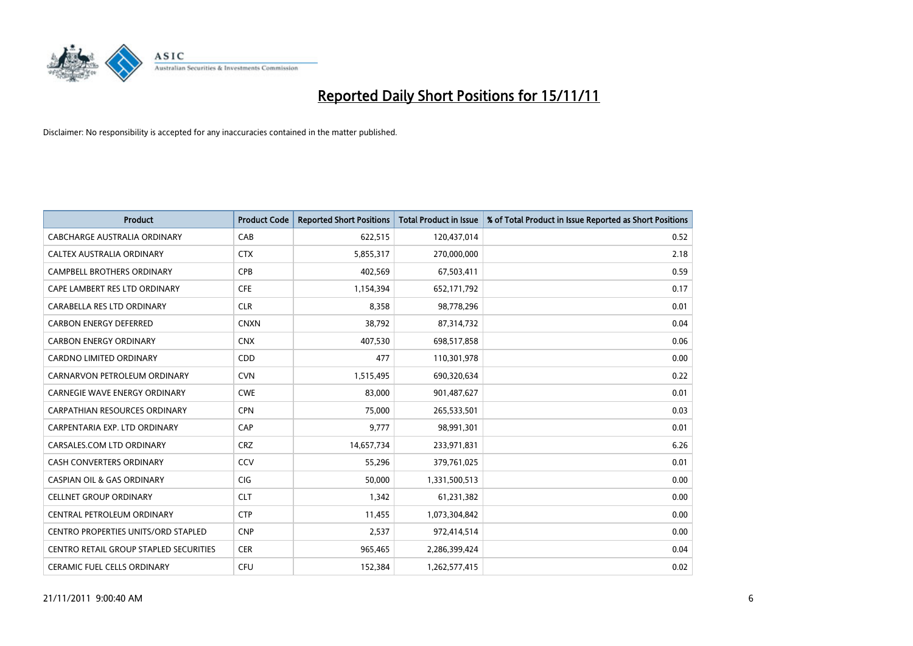

| <b>Product</b>                             | <b>Product Code</b> | <b>Reported Short Positions</b> | <b>Total Product in Issue</b> | % of Total Product in Issue Reported as Short Positions |
|--------------------------------------------|---------------------|---------------------------------|-------------------------------|---------------------------------------------------------|
| CABCHARGE AUSTRALIA ORDINARY               | CAB                 | 622,515                         | 120,437,014                   | 0.52                                                    |
| CALTEX AUSTRALIA ORDINARY                  | <b>CTX</b>          | 5,855,317                       | 270,000,000                   | 2.18                                                    |
| <b>CAMPBELL BROTHERS ORDINARY</b>          | CPB                 | 402,569                         | 67,503,411                    | 0.59                                                    |
| CAPE LAMBERT RES LTD ORDINARY              | <b>CFE</b>          | 1,154,394                       | 652,171,792                   | 0.17                                                    |
| CARABELLA RES LTD ORDINARY                 | <b>CLR</b>          | 8,358                           | 98,778,296                    | 0.01                                                    |
| <b>CARBON ENERGY DEFERRED</b>              | <b>CNXN</b>         | 38,792                          | 87,314,732                    | 0.04                                                    |
| <b>CARBON ENERGY ORDINARY</b>              | <b>CNX</b>          | 407,530                         | 698,517,858                   | 0.06                                                    |
| CARDNO LIMITED ORDINARY                    | <b>CDD</b>          | 477                             | 110,301,978                   | 0.00                                                    |
| CARNARVON PETROLEUM ORDINARY               | <b>CVN</b>          | 1,515,495                       | 690,320,634                   | 0.22                                                    |
| CARNEGIE WAVE ENERGY ORDINARY              | <b>CWE</b>          | 83,000                          | 901,487,627                   | 0.01                                                    |
| CARPATHIAN RESOURCES ORDINARY              | <b>CPN</b>          | 75,000                          | 265,533,501                   | 0.03                                                    |
| CARPENTARIA EXP. LTD ORDINARY              | CAP                 | 9,777                           | 98,991,301                    | 0.01                                                    |
| CARSALES.COM LTD ORDINARY                  | <b>CRZ</b>          | 14,657,734                      | 233,971,831                   | 6.26                                                    |
| <b>CASH CONVERTERS ORDINARY</b>            | CCV                 | 55,296                          | 379,761,025                   | 0.01                                                    |
| <b>CASPIAN OIL &amp; GAS ORDINARY</b>      | CIG                 | 50,000                          | 1,331,500,513                 | 0.00                                                    |
| <b>CELLNET GROUP ORDINARY</b>              | <b>CLT</b>          | 1,342                           | 61,231,382                    | 0.00                                                    |
| CENTRAL PETROLEUM ORDINARY                 | <b>CTP</b>          | 11,455                          | 1,073,304,842                 | 0.00                                                    |
| <b>CENTRO PROPERTIES UNITS/ORD STAPLED</b> | <b>CNP</b>          | 2,537                           | 972,414,514                   | 0.00                                                    |
| CENTRO RETAIL GROUP STAPLED SECURITIES     | <b>CER</b>          | 965,465                         | 2,286,399,424                 | 0.04                                                    |
| <b>CERAMIC FUEL CELLS ORDINARY</b>         | CFU                 | 152,384                         | 1,262,577,415                 | 0.02                                                    |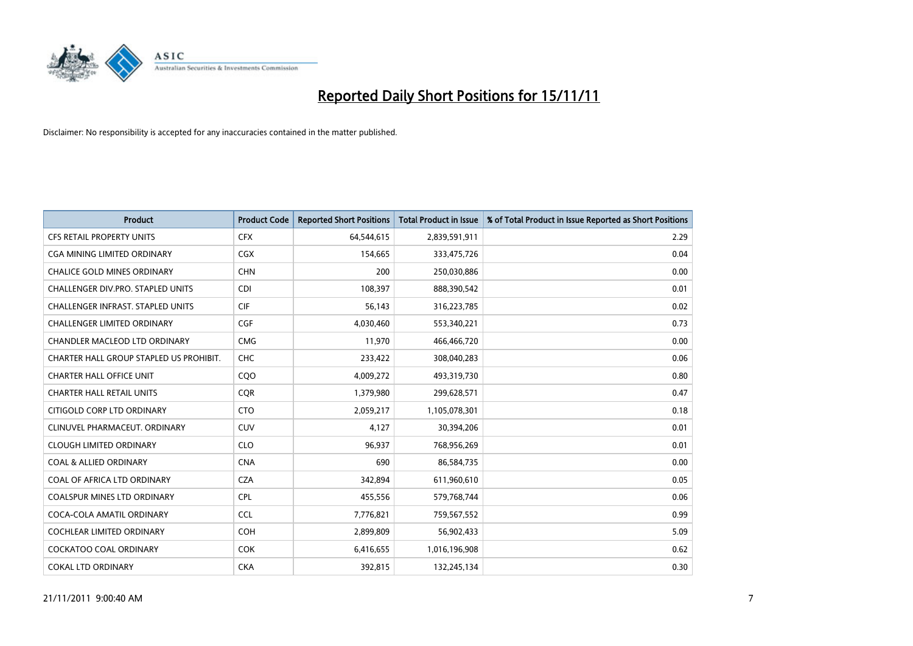

| <b>Product</b>                           | <b>Product Code</b> | <b>Reported Short Positions</b> | <b>Total Product in Issue</b> | % of Total Product in Issue Reported as Short Positions |
|------------------------------------------|---------------------|---------------------------------|-------------------------------|---------------------------------------------------------|
| <b>CFS RETAIL PROPERTY UNITS</b>         | <b>CFX</b>          | 64,544,615                      | 2,839,591,911                 | 2.29                                                    |
| CGA MINING LIMITED ORDINARY              | <b>CGX</b>          | 154,665                         | 333,475,726                   | 0.04                                                    |
| <b>CHALICE GOLD MINES ORDINARY</b>       | <b>CHN</b>          | 200                             | 250,030,886                   | 0.00                                                    |
| CHALLENGER DIV.PRO. STAPLED UNITS        | <b>CDI</b>          | 108,397                         | 888,390,542                   | 0.01                                                    |
| <b>CHALLENGER INFRAST, STAPLED UNITS</b> | <b>CIF</b>          | 56,143                          | 316,223,785                   | 0.02                                                    |
| <b>CHALLENGER LIMITED ORDINARY</b>       | CGF                 | 4,030,460                       | 553,340,221                   | 0.73                                                    |
| <b>CHANDLER MACLEOD LTD ORDINARY</b>     | <b>CMG</b>          | 11,970                          | 466,466,720                   | 0.00                                                    |
| CHARTER HALL GROUP STAPLED US PROHIBIT.  | <b>CHC</b>          | 233,422                         | 308,040,283                   | 0.06                                                    |
| <b>CHARTER HALL OFFICE UNIT</b>          | COO                 | 4,009,272                       | 493,319,730                   | 0.80                                                    |
| <b>CHARTER HALL RETAIL UNITS</b>         | <b>COR</b>          | 1,379,980                       | 299,628,571                   | 0.47                                                    |
| CITIGOLD CORP LTD ORDINARY               | <b>CTO</b>          | 2,059,217                       | 1,105,078,301                 | 0.18                                                    |
| CLINUVEL PHARMACEUT, ORDINARY            | <b>CUV</b>          | 4,127                           | 30,394,206                    | 0.01                                                    |
| <b>CLOUGH LIMITED ORDINARY</b>           | <b>CLO</b>          | 96,937                          | 768,956,269                   | 0.01                                                    |
| <b>COAL &amp; ALLIED ORDINARY</b>        | <b>CNA</b>          | 690                             | 86,584,735                    | 0.00                                                    |
| COAL OF AFRICA LTD ORDINARY              | <b>CZA</b>          | 342,894                         | 611,960,610                   | 0.05                                                    |
| COALSPUR MINES LTD ORDINARY              | <b>CPL</b>          | 455,556                         | 579,768,744                   | 0.06                                                    |
| COCA-COLA AMATIL ORDINARY                | <b>CCL</b>          | 7,776,821                       | 759,567,552                   | 0.99                                                    |
| COCHLEAR LIMITED ORDINARY                | <b>COH</b>          | 2,899,809                       | 56,902,433                    | 5.09                                                    |
| COCKATOO COAL ORDINARY                   | <b>COK</b>          | 6,416,655                       | 1,016,196,908                 | 0.62                                                    |
| <b>COKAL LTD ORDINARY</b>                | <b>CKA</b>          | 392,815                         | 132,245,134                   | 0.30                                                    |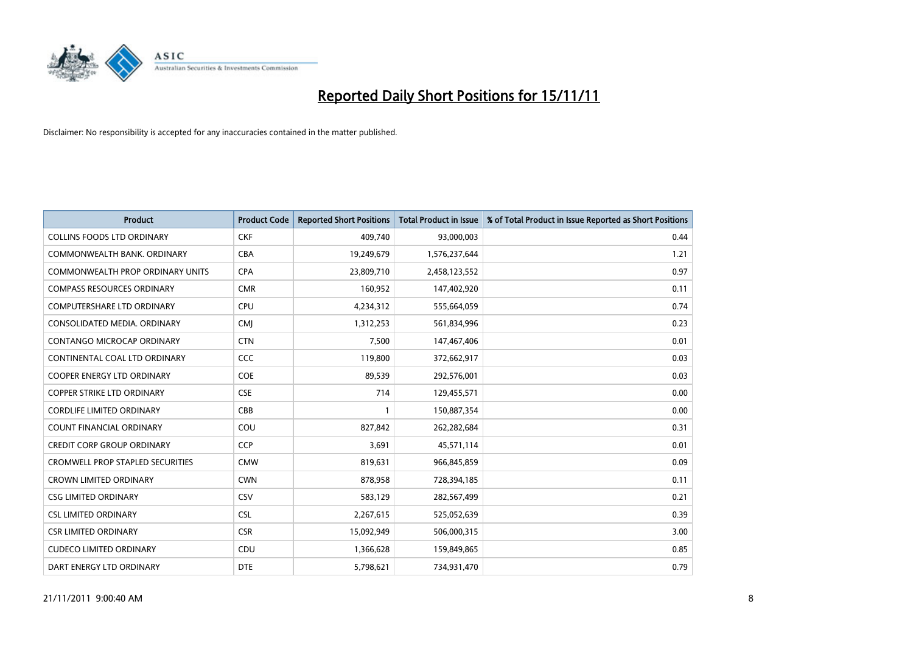

| <b>Product</b>                          | <b>Product Code</b> | <b>Reported Short Positions</b> | <b>Total Product in Issue</b> | % of Total Product in Issue Reported as Short Positions |
|-----------------------------------------|---------------------|---------------------------------|-------------------------------|---------------------------------------------------------|
| <b>COLLINS FOODS LTD ORDINARY</b>       | <b>CKF</b>          | 409,740                         | 93,000,003                    | 0.44                                                    |
| COMMONWEALTH BANK, ORDINARY             | <b>CBA</b>          | 19,249,679                      | 1,576,237,644                 | 1.21                                                    |
| <b>COMMONWEALTH PROP ORDINARY UNITS</b> | <b>CPA</b>          | 23,809,710                      | 2,458,123,552                 | 0.97                                                    |
| <b>COMPASS RESOURCES ORDINARY</b>       | <b>CMR</b>          | 160,952                         | 147,402,920                   | 0.11                                                    |
| <b>COMPUTERSHARE LTD ORDINARY</b>       | <b>CPU</b>          | 4,234,312                       | 555,664,059                   | 0.74                                                    |
| CONSOLIDATED MEDIA, ORDINARY            | <b>CMJ</b>          | 1,312,253                       | 561,834,996                   | 0.23                                                    |
| <b>CONTANGO MICROCAP ORDINARY</b>       | <b>CTN</b>          | 7,500                           | 147,467,406                   | 0.01                                                    |
| CONTINENTAL COAL LTD ORDINARY           | CCC                 | 119,800                         | 372,662,917                   | 0.03                                                    |
| COOPER ENERGY LTD ORDINARY              | COE                 | 89,539                          | 292,576,001                   | 0.03                                                    |
| <b>COPPER STRIKE LTD ORDINARY</b>       | <b>CSE</b>          | 714                             | 129,455,571                   | 0.00                                                    |
| <b>CORDLIFE LIMITED ORDINARY</b>        | CBB                 |                                 | 150,887,354                   | 0.00                                                    |
| <b>COUNT FINANCIAL ORDINARY</b>         | COU                 | 827,842                         | 262,282,684                   | 0.31                                                    |
| <b>CREDIT CORP GROUP ORDINARY</b>       | CCP                 | 3,691                           | 45,571,114                    | 0.01                                                    |
| <b>CROMWELL PROP STAPLED SECURITIES</b> | <b>CMW</b>          | 819,631                         | 966,845,859                   | 0.09                                                    |
| <b>CROWN LIMITED ORDINARY</b>           | <b>CWN</b>          | 878,958                         | 728,394,185                   | 0.11                                                    |
| <b>CSG LIMITED ORDINARY</b>             | CSV                 | 583,129                         | 282,567,499                   | 0.21                                                    |
| <b>CSL LIMITED ORDINARY</b>             | <b>CSL</b>          | 2,267,615                       | 525,052,639                   | 0.39                                                    |
| <b>CSR LIMITED ORDINARY</b>             | <b>CSR</b>          | 15,092,949                      | 506,000,315                   | 3.00                                                    |
| <b>CUDECO LIMITED ORDINARY</b>          | CDU                 | 1,366,628                       | 159,849,865                   | 0.85                                                    |
| DART ENERGY LTD ORDINARY                | <b>DTE</b>          | 5,798,621                       | 734,931,470                   | 0.79                                                    |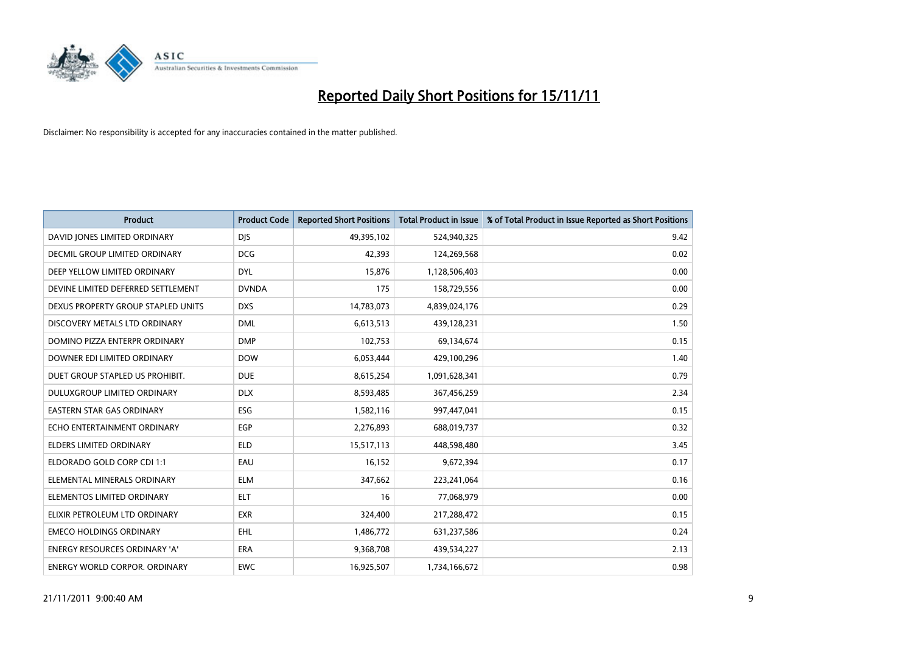

| <b>Product</b>                       | <b>Product Code</b> | <b>Reported Short Positions</b> | <b>Total Product in Issue</b> | % of Total Product in Issue Reported as Short Positions |
|--------------------------------------|---------------------|---------------------------------|-------------------------------|---------------------------------------------------------|
| DAVID JONES LIMITED ORDINARY         | <b>DJS</b>          | 49,395,102                      | 524,940,325                   | 9.42                                                    |
| DECMIL GROUP LIMITED ORDINARY        | <b>DCG</b>          | 42,393                          | 124,269,568                   | 0.02                                                    |
| DEEP YELLOW LIMITED ORDINARY         | <b>DYL</b>          | 15,876                          | 1,128,506,403                 | 0.00                                                    |
| DEVINE LIMITED DEFERRED SETTLEMENT   | <b>DVNDA</b>        | 175                             | 158,729,556                   | 0.00                                                    |
| DEXUS PROPERTY GROUP STAPLED UNITS   | <b>DXS</b>          | 14,783,073                      | 4,839,024,176                 | 0.29                                                    |
| DISCOVERY METALS LTD ORDINARY        | <b>DML</b>          | 6,613,513                       | 439,128,231                   | 1.50                                                    |
| DOMINO PIZZA ENTERPR ORDINARY        | <b>DMP</b>          | 102,753                         | 69,134,674                    | 0.15                                                    |
| DOWNER EDI LIMITED ORDINARY          | <b>DOW</b>          | 6,053,444                       | 429,100,296                   | 1.40                                                    |
| DUET GROUP STAPLED US PROHIBIT.      | <b>DUE</b>          | 8,615,254                       | 1,091,628,341                 | 0.79                                                    |
| <b>DULUXGROUP LIMITED ORDINARY</b>   | <b>DLX</b>          | 8,593,485                       | 367,456,259                   | 2.34                                                    |
| EASTERN STAR GAS ORDINARY            | ESG                 | 1,582,116                       | 997,447,041                   | 0.15                                                    |
| ECHO ENTERTAINMENT ORDINARY          | <b>EGP</b>          | 2,276,893                       | 688,019,737                   | 0.32                                                    |
| <b>ELDERS LIMITED ORDINARY</b>       | <b>ELD</b>          | 15,517,113                      | 448,598,480                   | 3.45                                                    |
| ELDORADO GOLD CORP CDI 1:1           | EAU                 | 16,152                          | 9,672,394                     | 0.17                                                    |
| ELEMENTAL MINERALS ORDINARY          | <b>ELM</b>          | 347,662                         | 223,241,064                   | 0.16                                                    |
| ELEMENTOS LIMITED ORDINARY           | <b>ELT</b>          | 16                              | 77,068,979                    | 0.00                                                    |
| ELIXIR PETROLEUM LTD ORDINARY        | <b>EXR</b>          | 324,400                         | 217,288,472                   | 0.15                                                    |
| <b>EMECO HOLDINGS ORDINARY</b>       | <b>EHL</b>          | 1,486,772                       | 631,237,586                   | 0.24                                                    |
| <b>ENERGY RESOURCES ORDINARY 'A'</b> | <b>ERA</b>          | 9,368,708                       | 439,534,227                   | 2.13                                                    |
| ENERGY WORLD CORPOR. ORDINARY        | <b>EWC</b>          | 16,925,507                      | 1,734,166,672                 | 0.98                                                    |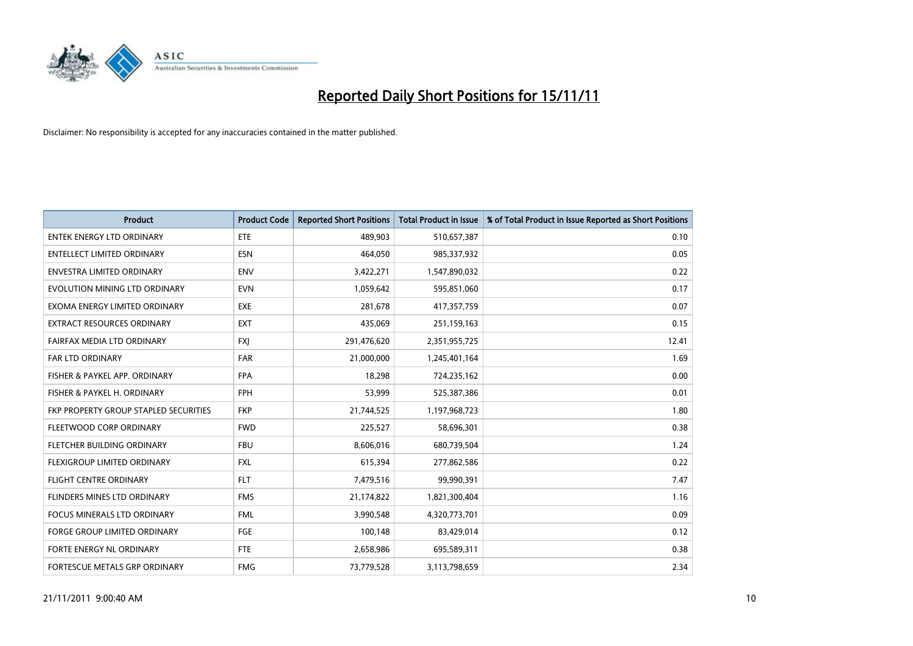

| <b>Product</b>                        | <b>Product Code</b> | <b>Reported Short Positions</b> | Total Product in Issue | % of Total Product in Issue Reported as Short Positions |
|---------------------------------------|---------------------|---------------------------------|------------------------|---------------------------------------------------------|
| <b>ENTEK ENERGY LTD ORDINARY</b>      | ETE                 | 489,903                         | 510,657,387            | 0.10                                                    |
| <b>ENTELLECT LIMITED ORDINARY</b>     | <b>ESN</b>          | 464,050                         | 985,337,932            | 0.05                                                    |
| <b>ENVESTRA LIMITED ORDINARY</b>      | <b>ENV</b>          | 3,422,271                       | 1,547,890,032          | 0.22                                                    |
| EVOLUTION MINING LTD ORDINARY         | <b>EVN</b>          | 1,059,642                       | 595,851,060            | 0.17                                                    |
| EXOMA ENERGY LIMITED ORDINARY         | <b>EXE</b>          | 281.678                         | 417,357,759            | 0.07                                                    |
| <b>EXTRACT RESOURCES ORDINARY</b>     | <b>EXT</b>          | 435,069                         | 251,159,163            | 0.15                                                    |
| FAIRFAX MEDIA LTD ORDINARY            | <b>FXI</b>          | 291,476,620                     | 2,351,955,725          | 12.41                                                   |
| <b>FAR LTD ORDINARY</b>               | <b>FAR</b>          | 21,000,000                      | 1,245,401,164          | 1.69                                                    |
| FISHER & PAYKEL APP. ORDINARY         | <b>FPA</b>          | 18,298                          | 724,235,162            | 0.00                                                    |
| FISHER & PAYKEL H. ORDINARY           | <b>FPH</b>          | 53,999                          | 525,387,386            | 0.01                                                    |
| FKP PROPERTY GROUP STAPLED SECURITIES | <b>FKP</b>          | 21,744,525                      | 1,197,968,723          | 1.80                                                    |
| FLEETWOOD CORP ORDINARY               | <b>FWD</b>          | 225,527                         | 58,696,301             | 0.38                                                    |
| FLETCHER BUILDING ORDINARY            | <b>FBU</b>          | 8,606,016                       | 680,739,504            | 1.24                                                    |
| FLEXIGROUP LIMITED ORDINARY           | <b>FXL</b>          | 615,394                         | 277,862,586            | 0.22                                                    |
| FLIGHT CENTRE ORDINARY                | <b>FLT</b>          | 7,479,516                       | 99,990,391             | 7.47                                                    |
| FLINDERS MINES LTD ORDINARY           | <b>FMS</b>          | 21,174,822                      | 1,821,300,404          | 1.16                                                    |
| <b>FOCUS MINERALS LTD ORDINARY</b>    | <b>FML</b>          | 3,990,548                       | 4,320,773,701          | 0.09                                                    |
| FORGE GROUP LIMITED ORDINARY          | FGE                 | 100,148                         | 83,429,014             | 0.12                                                    |
| FORTE ENERGY NL ORDINARY              | <b>FTE</b>          | 2,658,986                       | 695,589,311            | 0.38                                                    |
| FORTESCUE METALS GRP ORDINARY         | <b>FMG</b>          | 73,779,528                      | 3,113,798,659          | 2.34                                                    |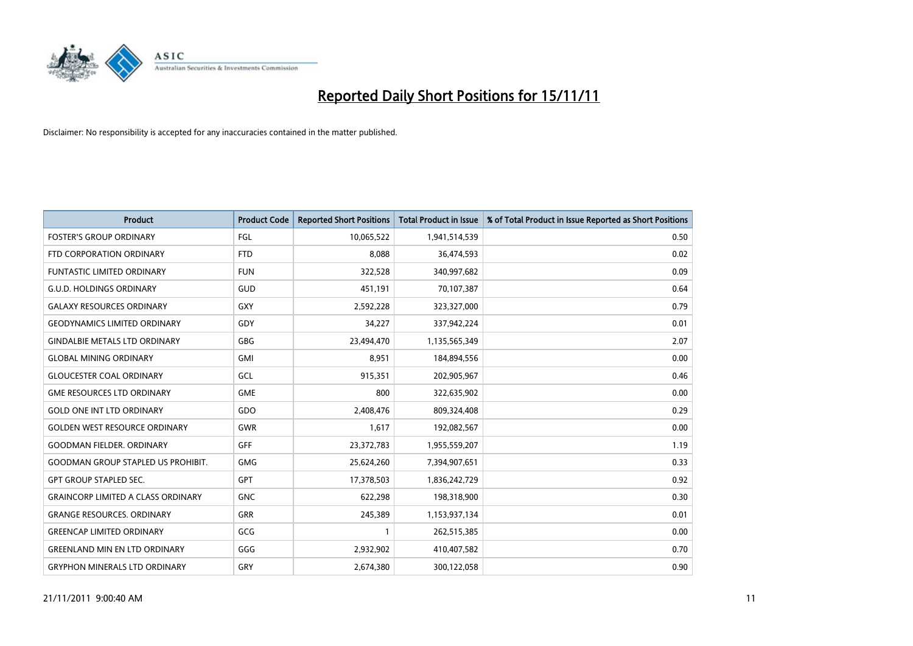

| <b>Product</b>                            | <b>Product Code</b> | <b>Reported Short Positions</b> | <b>Total Product in Issue</b> | % of Total Product in Issue Reported as Short Positions |
|-------------------------------------------|---------------------|---------------------------------|-------------------------------|---------------------------------------------------------|
| <b>FOSTER'S GROUP ORDINARY</b>            | FGL                 | 10,065,522                      | 1,941,514,539                 | 0.50                                                    |
| FTD CORPORATION ORDINARY                  | <b>FTD</b>          | 8,088                           | 36,474,593                    | 0.02                                                    |
| <b>FUNTASTIC LIMITED ORDINARY</b>         | <b>FUN</b>          | 322,528                         | 340,997,682                   | 0.09                                                    |
| <b>G.U.D. HOLDINGS ORDINARY</b>           | GUD                 | 451,191                         | 70,107,387                    | 0.64                                                    |
| <b>GALAXY RESOURCES ORDINARY</b>          | GXY                 | 2,592,228                       | 323,327,000                   | 0.79                                                    |
| <b>GEODYNAMICS LIMITED ORDINARY</b>       | GDY                 | 34,227                          | 337,942,224                   | 0.01                                                    |
| <b>GINDALBIE METALS LTD ORDINARY</b>      | GBG                 | 23,494,470                      | 1,135,565,349                 | 2.07                                                    |
| <b>GLOBAL MINING ORDINARY</b>             | <b>GMI</b>          | 8,951                           | 184,894,556                   | 0.00                                                    |
| <b>GLOUCESTER COAL ORDINARY</b>           | GCL                 | 915,351                         | 202,905,967                   | 0.46                                                    |
| <b>GME RESOURCES LTD ORDINARY</b>         | <b>GME</b>          | 800                             | 322,635,902                   | 0.00                                                    |
| <b>GOLD ONE INT LTD ORDINARY</b>          | GDO                 | 2,408,476                       | 809,324,408                   | 0.29                                                    |
| <b>GOLDEN WEST RESOURCE ORDINARY</b>      | <b>GWR</b>          | 1,617                           | 192,082,567                   | 0.00                                                    |
| <b>GOODMAN FIELDER. ORDINARY</b>          | GFF                 | 23,372,783                      | 1,955,559,207                 | 1.19                                                    |
| <b>GOODMAN GROUP STAPLED US PROHIBIT.</b> | <b>GMG</b>          | 25,624,260                      | 7,394,907,651                 | 0.33                                                    |
| <b>GPT GROUP STAPLED SEC.</b>             | <b>GPT</b>          | 17,378,503                      | 1,836,242,729                 | 0.92                                                    |
| <b>GRAINCORP LIMITED A CLASS ORDINARY</b> | <b>GNC</b>          | 622,298                         | 198,318,900                   | 0.30                                                    |
| <b>GRANGE RESOURCES. ORDINARY</b>         | GRR                 | 245,389                         | 1,153,937,134                 | 0.01                                                    |
| <b>GREENCAP LIMITED ORDINARY</b>          | GCG                 |                                 | 262,515,385                   | 0.00                                                    |
| <b>GREENLAND MIN EN LTD ORDINARY</b>      | GGG                 | 2,932,902                       | 410,407,582                   | 0.70                                                    |
| <b>GRYPHON MINERALS LTD ORDINARY</b>      | GRY                 | 2,674,380                       | 300,122,058                   | 0.90                                                    |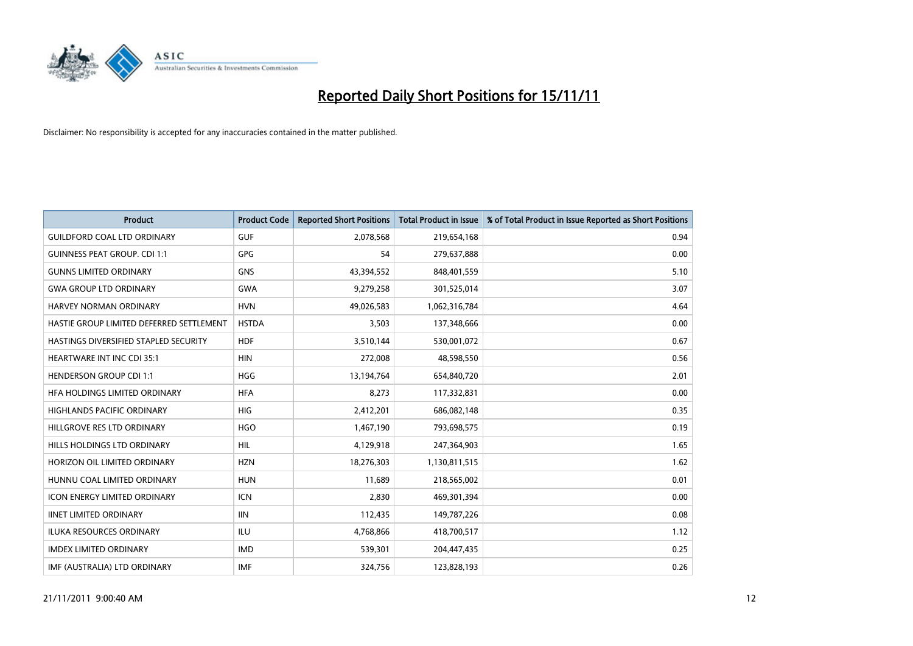

| <b>Product</b>                           | <b>Product Code</b> | <b>Reported Short Positions</b> | <b>Total Product in Issue</b> | % of Total Product in Issue Reported as Short Positions |
|------------------------------------------|---------------------|---------------------------------|-------------------------------|---------------------------------------------------------|
| <b>GUILDFORD COAL LTD ORDINARY</b>       | <b>GUF</b>          | 2,078,568                       | 219,654,168                   | 0.94                                                    |
| <b>GUINNESS PEAT GROUP. CDI 1:1</b>      | <b>GPG</b>          | 54                              | 279,637,888                   | 0.00                                                    |
| <b>GUNNS LIMITED ORDINARY</b>            | <b>GNS</b>          | 43,394,552                      | 848,401,559                   | 5.10                                                    |
| <b>GWA GROUP LTD ORDINARY</b>            | <b>GWA</b>          | 9,279,258                       | 301,525,014                   | 3.07                                                    |
| HARVEY NORMAN ORDINARY                   | <b>HVN</b>          | 49,026,583                      | 1,062,316,784                 | 4.64                                                    |
| HASTIE GROUP LIMITED DEFERRED SETTLEMENT | <b>HSTDA</b>        | 3,503                           | 137,348,666                   | 0.00                                                    |
| HASTINGS DIVERSIFIED STAPLED SECURITY    | <b>HDF</b>          | 3,510,144                       | 530,001,072                   | 0.67                                                    |
| <b>HEARTWARE INT INC CDI 35:1</b>        | <b>HIN</b>          | 272,008                         | 48,598,550                    | 0.56                                                    |
| <b>HENDERSON GROUP CDI 1:1</b>           | <b>HGG</b>          | 13,194,764                      | 654,840,720                   | 2.01                                                    |
| HFA HOLDINGS LIMITED ORDINARY            | <b>HFA</b>          | 8,273                           | 117,332,831                   | 0.00                                                    |
| <b>HIGHLANDS PACIFIC ORDINARY</b>        | <b>HIG</b>          | 2,412,201                       | 686,082,148                   | 0.35                                                    |
| HILLGROVE RES LTD ORDINARY               | <b>HGO</b>          | 1,467,190                       | 793,698,575                   | 0.19                                                    |
| HILLS HOLDINGS LTD ORDINARY              | <b>HIL</b>          | 4,129,918                       | 247,364,903                   | 1.65                                                    |
| HORIZON OIL LIMITED ORDINARY             | <b>HZN</b>          | 18,276,303                      | 1,130,811,515                 | 1.62                                                    |
| HUNNU COAL LIMITED ORDINARY              | <b>HUN</b>          | 11,689                          | 218,565,002                   | 0.01                                                    |
| <b>ICON ENERGY LIMITED ORDINARY</b>      | <b>ICN</b>          | 2,830                           | 469,301,394                   | 0.00                                                    |
| <b>IINET LIMITED ORDINARY</b>            | <b>IIN</b>          | 112,435                         | 149,787,226                   | 0.08                                                    |
| ILUKA RESOURCES ORDINARY                 | ILU                 | 4,768,866                       | 418,700,517                   | 1.12                                                    |
| <b>IMDEX LIMITED ORDINARY</b>            | <b>IMD</b>          | 539,301                         | 204,447,435                   | 0.25                                                    |
| IMF (AUSTRALIA) LTD ORDINARY             | <b>IMF</b>          | 324,756                         | 123,828,193                   | 0.26                                                    |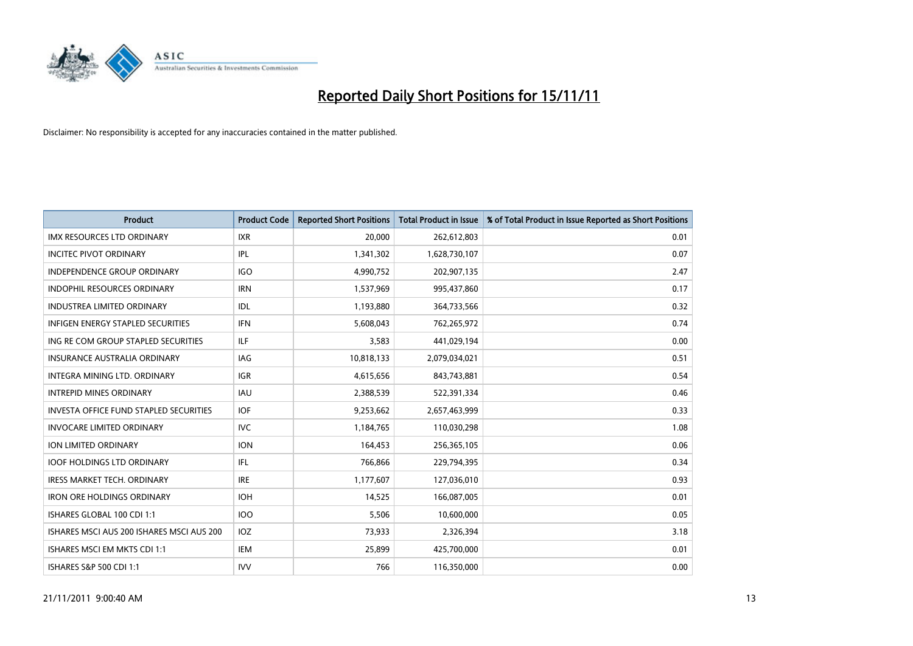

| <b>Product</b>                                | <b>Product Code</b> | <b>Reported Short Positions</b> | <b>Total Product in Issue</b> | % of Total Product in Issue Reported as Short Positions |
|-----------------------------------------------|---------------------|---------------------------------|-------------------------------|---------------------------------------------------------|
| <b>IMX RESOURCES LTD ORDINARY</b>             | <b>IXR</b>          | 20,000                          | 262,612,803                   | 0.01                                                    |
| <b>INCITEC PIVOT ORDINARY</b>                 | IPL                 | 1,341,302                       | 1,628,730,107                 | 0.07                                                    |
| <b>INDEPENDENCE GROUP ORDINARY</b>            | <b>IGO</b>          | 4,990,752                       | 202,907,135                   | 2.47                                                    |
| INDOPHIL RESOURCES ORDINARY                   | <b>IRN</b>          | 1,537,969                       | 995,437,860                   | 0.17                                                    |
| <b>INDUSTREA LIMITED ORDINARY</b>             | IDL                 | 1,193,880                       | 364,733,566                   | 0.32                                                    |
| <b>INFIGEN ENERGY STAPLED SECURITIES</b>      | <b>IFN</b>          | 5,608,043                       | 762,265,972                   | 0.74                                                    |
| ING RE COM GROUP STAPLED SECURITIES           | ILF.                | 3.583                           | 441,029,194                   | 0.00                                                    |
| <b>INSURANCE AUSTRALIA ORDINARY</b>           | IAG                 | 10,818,133                      | 2,079,034,021                 | 0.51                                                    |
| INTEGRA MINING LTD. ORDINARY                  | <b>IGR</b>          | 4,615,656                       | 843,743,881                   | 0.54                                                    |
| <b>INTREPID MINES ORDINARY</b>                | <b>IAU</b>          | 2,388,539                       | 522,391,334                   | 0.46                                                    |
| <b>INVESTA OFFICE FUND STAPLED SECURITIES</b> | <b>IOF</b>          | 9,253,662                       | 2,657,463,999                 | 0.33                                                    |
| <b>INVOCARE LIMITED ORDINARY</b>              | <b>IVC</b>          | 1,184,765                       | 110,030,298                   | 1.08                                                    |
| <b>ION LIMITED ORDINARY</b>                   | <b>ION</b>          | 164.453                         | 256,365,105                   | 0.06                                                    |
| <b>IOOF HOLDINGS LTD ORDINARY</b>             | IFL.                | 766.866                         | 229,794,395                   | 0.34                                                    |
| <b>IRESS MARKET TECH. ORDINARY</b>            | <b>IRE</b>          | 1,177,607                       | 127,036,010                   | 0.93                                                    |
| <b>IRON ORE HOLDINGS ORDINARY</b>             | <b>IOH</b>          | 14.525                          | 166,087,005                   | 0.01                                                    |
| ISHARES GLOBAL 100 CDI 1:1                    | <b>IOO</b>          | 5,506                           | 10,600,000                    | 0.05                                                    |
| ISHARES MSCI AUS 200 ISHARES MSCI AUS 200     | IOZ                 | 73,933                          | 2,326,394                     | 3.18                                                    |
| ISHARES MSCI EM MKTS CDI 1:1                  | IEM                 | 25,899                          | 425,700,000                   | 0.01                                                    |
| ISHARES S&P 500 CDI 1:1                       | <b>IVV</b>          | 766                             | 116,350,000                   | 0.00                                                    |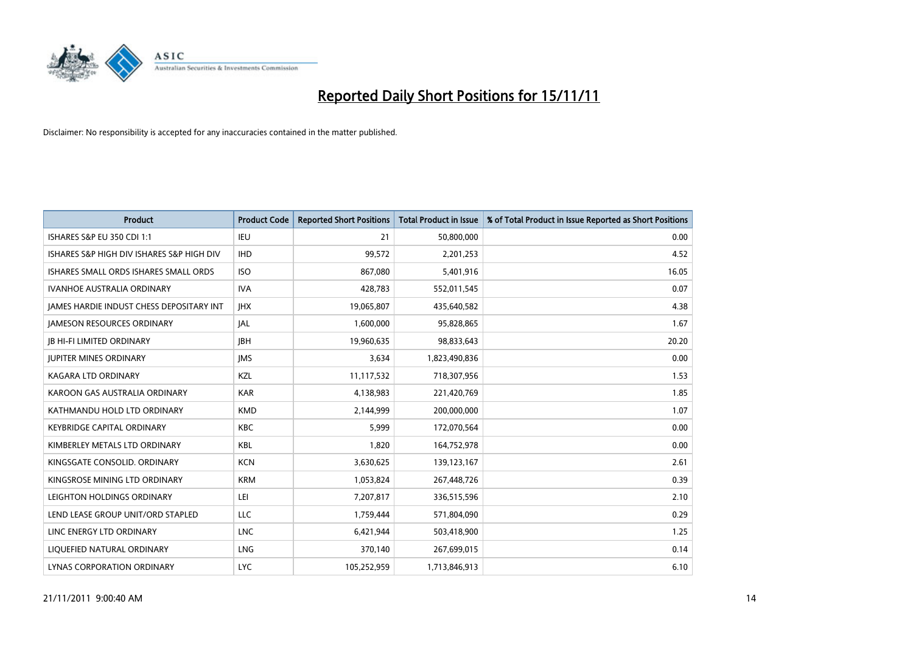

| <b>Product</b>                                  | <b>Product Code</b> | <b>Reported Short Positions</b> | <b>Total Product in Issue</b> | % of Total Product in Issue Reported as Short Positions |
|-------------------------------------------------|---------------------|---------------------------------|-------------------------------|---------------------------------------------------------|
| <b>ISHARES S&amp;P EU 350 CDI 1:1</b>           | <b>IEU</b>          | 21                              | 50,800,000                    | 0.00                                                    |
| ISHARES S&P HIGH DIV ISHARES S&P HIGH DIV       | <b>IHD</b>          | 99,572                          | 2,201,253                     | 4.52                                                    |
| ISHARES SMALL ORDS ISHARES SMALL ORDS           | <b>ISO</b>          | 867,080                         | 5,401,916                     | 16.05                                                   |
| <b>IVANHOE AUSTRALIA ORDINARY</b>               | <b>IVA</b>          | 428,783                         | 552,011,545                   | 0.07                                                    |
| <b>IAMES HARDIE INDUST CHESS DEPOSITARY INT</b> | <b>IHX</b>          | 19,065,807                      | 435,640,582                   | 4.38                                                    |
| <b>JAMESON RESOURCES ORDINARY</b>               | <b>JAL</b>          | 1,600,000                       | 95,828,865                    | 1.67                                                    |
| <b>IB HI-FI LIMITED ORDINARY</b>                | <b>IBH</b>          | 19,960,635                      | 98,833,643                    | 20.20                                                   |
| <b>JUPITER MINES ORDINARY</b>                   | <b>IMS</b>          | 3,634                           | 1,823,490,836                 | 0.00                                                    |
| KAGARA LTD ORDINARY                             | KZL                 | 11,117,532                      | 718,307,956                   | 1.53                                                    |
| KAROON GAS AUSTRALIA ORDINARY                   | <b>KAR</b>          | 4,138,983                       | 221,420,769                   | 1.85                                                    |
| KATHMANDU HOLD LTD ORDINARY                     | <b>KMD</b>          | 2,144,999                       | 200,000,000                   | 1.07                                                    |
| <b>KEYBRIDGE CAPITAL ORDINARY</b>               | <b>KBC</b>          | 5.999                           | 172,070,564                   | 0.00                                                    |
| KIMBERLEY METALS LTD ORDINARY                   | <b>KBL</b>          | 1,820                           | 164,752,978                   | 0.00                                                    |
| KINGSGATE CONSOLID, ORDINARY                    | <b>KCN</b>          | 3,630,625                       | 139,123,167                   | 2.61                                                    |
| KINGSROSE MINING LTD ORDINARY                   | <b>KRM</b>          | 1,053,824                       | 267,448,726                   | 0.39                                                    |
| LEIGHTON HOLDINGS ORDINARY                      | LEI                 | 7,207,817                       | 336,515,596                   | 2.10                                                    |
| LEND LEASE GROUP UNIT/ORD STAPLED               | <b>LLC</b>          | 1,759,444                       | 571,804,090                   | 0.29                                                    |
| LINC ENERGY LTD ORDINARY                        | <b>LNC</b>          | 6,421,944                       | 503,418,900                   | 1.25                                                    |
| LIOUEFIED NATURAL ORDINARY                      | LNG                 | 370,140                         | 267,699,015                   | 0.14                                                    |
| LYNAS CORPORATION ORDINARY                      | <b>LYC</b>          | 105,252,959                     | 1,713,846,913                 | 6.10                                                    |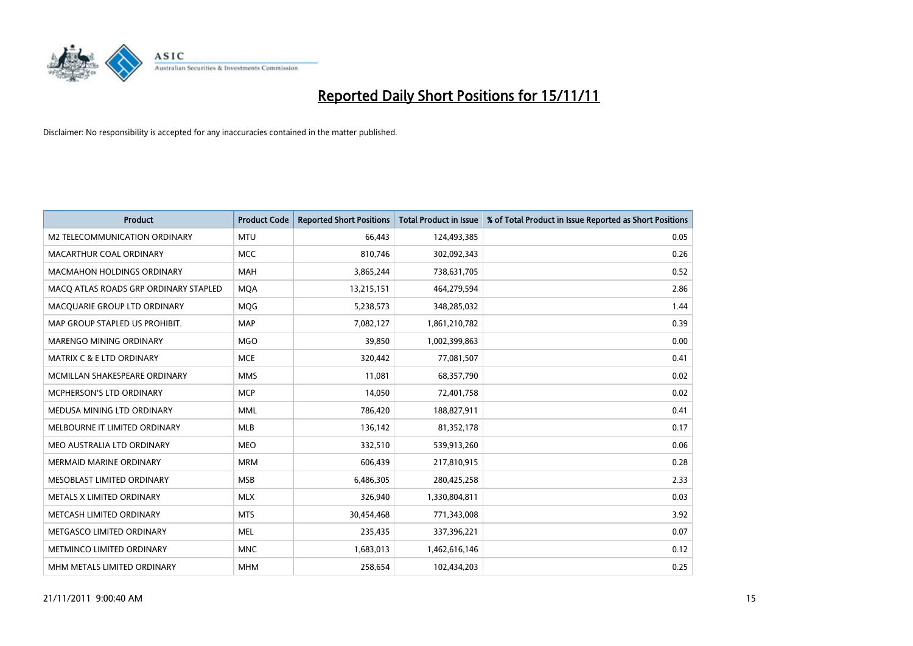

| <b>Product</b>                        | <b>Product Code</b> | <b>Reported Short Positions</b> | Total Product in Issue | % of Total Product in Issue Reported as Short Positions |
|---------------------------------------|---------------------|---------------------------------|------------------------|---------------------------------------------------------|
| M2 TELECOMMUNICATION ORDINARY         | <b>MTU</b>          | 66.443                          | 124,493,385            | 0.05                                                    |
| MACARTHUR COAL ORDINARY               | <b>MCC</b>          | 810,746                         | 302,092,343            | 0.26                                                    |
| <b>MACMAHON HOLDINGS ORDINARY</b>     | <b>MAH</b>          | 3,865,244                       | 738,631,705            | 0.52                                                    |
| MACQ ATLAS ROADS GRP ORDINARY STAPLED | <b>MOA</b>          | 13,215,151                      | 464,279,594            | 2.86                                                    |
| MACQUARIE GROUP LTD ORDINARY          | MQG                 | 5,238,573                       | 348,285,032            | 1.44                                                    |
| MAP GROUP STAPLED US PROHIBIT.        | <b>MAP</b>          | 7,082,127                       | 1,861,210,782          | 0.39                                                    |
| <b>MARENGO MINING ORDINARY</b>        | <b>MGO</b>          | 39,850                          | 1,002,399,863          | 0.00                                                    |
| <b>MATRIX C &amp; E LTD ORDINARY</b>  | <b>MCE</b>          | 320.442                         | 77,081,507             | 0.41                                                    |
| MCMILLAN SHAKESPEARE ORDINARY         | <b>MMS</b>          | 11,081                          | 68,357,790             | 0.02                                                    |
| MCPHERSON'S LTD ORDINARY              | <b>MCP</b>          | 14.050                          | 72,401,758             | 0.02                                                    |
| MEDUSA MINING LTD ORDINARY            | <b>MML</b>          | 786,420                         | 188,827,911            | 0.41                                                    |
| MELBOURNE IT LIMITED ORDINARY         | MLB                 | 136,142                         | 81,352,178             | 0.17                                                    |
| MEO AUSTRALIA LTD ORDINARY            | <b>MEO</b>          | 332,510                         | 539,913,260            | 0.06                                                    |
| <b>MERMAID MARINE ORDINARY</b>        | <b>MRM</b>          | 606,439                         | 217,810,915            | 0.28                                                    |
| MESOBLAST LIMITED ORDINARY            | <b>MSB</b>          | 6,486,305                       | 280,425,258            | 2.33                                                    |
| METALS X LIMITED ORDINARY             | <b>MLX</b>          | 326,940                         | 1,330,804,811          | 0.03                                                    |
| METCASH LIMITED ORDINARY              | <b>MTS</b>          | 30,454,468                      | 771,343,008            | 3.92                                                    |
| METGASCO LIMITED ORDINARY             | <b>MEL</b>          | 235,435                         | 337,396,221            | 0.07                                                    |
| METMINCO LIMITED ORDINARY             | <b>MNC</b>          | 1,683,013                       | 1,462,616,146          | 0.12                                                    |
| MHM METALS LIMITED ORDINARY           | <b>MHM</b>          | 258,654                         | 102,434,203            | 0.25                                                    |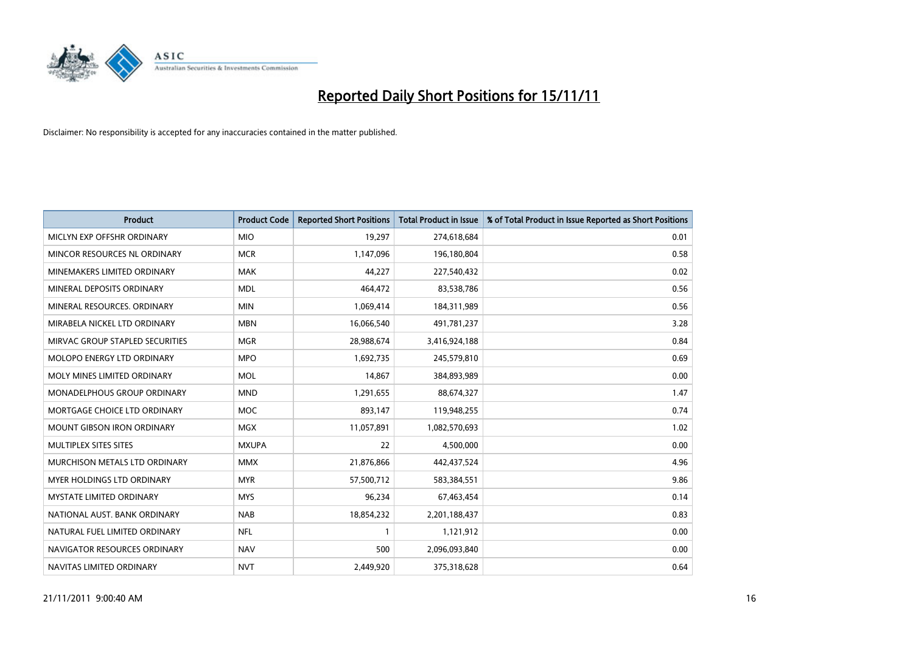

| <b>Product</b>                       | <b>Product Code</b> | <b>Reported Short Positions</b> | <b>Total Product in Issue</b> | % of Total Product in Issue Reported as Short Positions |
|--------------------------------------|---------------------|---------------------------------|-------------------------------|---------------------------------------------------------|
| MICLYN EXP OFFSHR ORDINARY           | <b>MIO</b>          | 19,297                          | 274,618,684                   | 0.01                                                    |
| MINCOR RESOURCES NL ORDINARY         | <b>MCR</b>          | 1,147,096                       | 196,180,804                   | 0.58                                                    |
| MINEMAKERS LIMITED ORDINARY          | <b>MAK</b>          | 44,227                          | 227,540,432                   | 0.02                                                    |
| MINERAL DEPOSITS ORDINARY            | <b>MDL</b>          | 464,472                         | 83,538,786                    | 0.56                                                    |
| MINERAL RESOURCES, ORDINARY          | <b>MIN</b>          | 1,069,414                       | 184,311,989                   | 0.56                                                    |
| MIRABELA NICKEL LTD ORDINARY         | <b>MBN</b>          | 16,066,540                      | 491,781,237                   | 3.28                                                    |
| MIRVAC GROUP STAPLED SECURITIES      | <b>MGR</b>          | 28,988,674                      | 3,416,924,188                 | 0.84                                                    |
| MOLOPO ENERGY LTD ORDINARY           | <b>MPO</b>          | 1,692,735                       | 245,579,810                   | 0.69                                                    |
| MOLY MINES LIMITED ORDINARY          | <b>MOL</b>          | 14,867                          | 384,893,989                   | 0.00                                                    |
| <b>MONADELPHOUS GROUP ORDINARY</b>   | <b>MND</b>          | 1,291,655                       | 88,674,327                    | 1.47                                                    |
| MORTGAGE CHOICE LTD ORDINARY         | <b>MOC</b>          | 893,147                         | 119,948,255                   | 0.74                                                    |
| <b>MOUNT GIBSON IRON ORDINARY</b>    | <b>MGX</b>          | 11,057,891                      | 1,082,570,693                 | 1.02                                                    |
| MULTIPLEX SITES SITES                | <b>MXUPA</b>        | 22                              | 4,500,000                     | 0.00                                                    |
| <b>MURCHISON METALS LTD ORDINARY</b> | <b>MMX</b>          | 21,876,866                      | 442,437,524                   | 4.96                                                    |
| <b>MYER HOLDINGS LTD ORDINARY</b>    | <b>MYR</b>          | 57,500,712                      | 583,384,551                   | 9.86                                                    |
| <b>MYSTATE LIMITED ORDINARY</b>      | <b>MYS</b>          | 96,234                          | 67,463,454                    | 0.14                                                    |
| NATIONAL AUST, BANK ORDINARY         | <b>NAB</b>          | 18,854,232                      | 2,201,188,437                 | 0.83                                                    |
| NATURAL FUEL LIMITED ORDINARY        | <b>NFL</b>          |                                 | 1,121,912                     | 0.00                                                    |
| NAVIGATOR RESOURCES ORDINARY         | <b>NAV</b>          | 500                             | 2,096,093,840                 | 0.00                                                    |
| NAVITAS LIMITED ORDINARY             | <b>NVT</b>          | 2,449,920                       | 375,318,628                   | 0.64                                                    |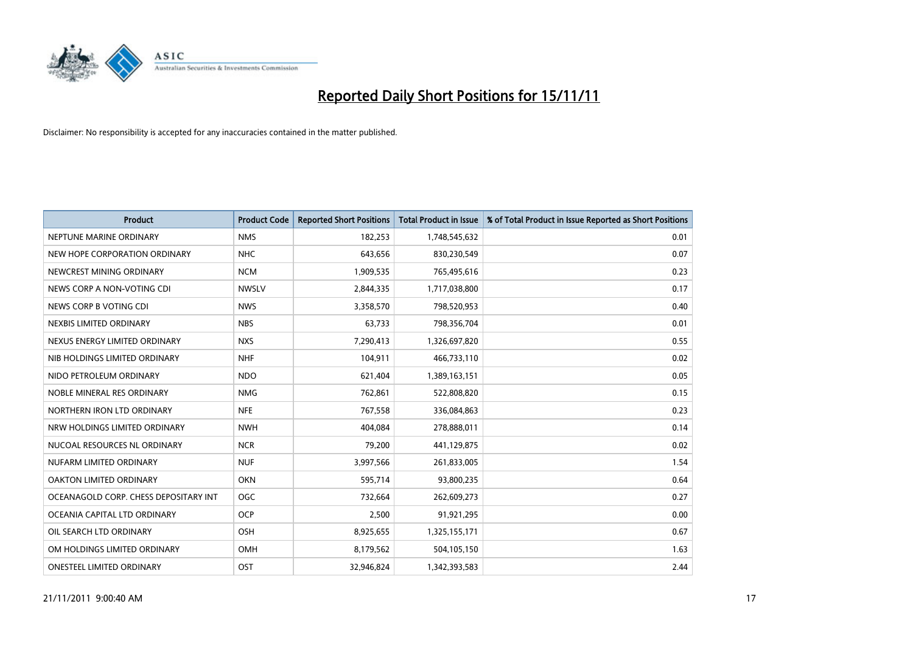

| <b>Product</b>                        | <b>Product Code</b> | <b>Reported Short Positions</b> | <b>Total Product in Issue</b> | % of Total Product in Issue Reported as Short Positions |
|---------------------------------------|---------------------|---------------------------------|-------------------------------|---------------------------------------------------------|
| NEPTUNE MARINE ORDINARY               | <b>NMS</b>          | 182,253                         | 1,748,545,632                 | 0.01                                                    |
| NEW HOPE CORPORATION ORDINARY         | <b>NHC</b>          | 643,656                         | 830,230,549                   | 0.07                                                    |
| NEWCREST MINING ORDINARY              | <b>NCM</b>          | 1,909,535                       | 765,495,616                   | 0.23                                                    |
| NEWS CORP A NON-VOTING CDI            | <b>NWSLV</b>        | 2,844,335                       | 1,717,038,800                 | 0.17                                                    |
| NEWS CORP B VOTING CDI                | <b>NWS</b>          | 3,358,570                       | 798,520,953                   | 0.40                                                    |
| NEXBIS LIMITED ORDINARY               | <b>NBS</b>          | 63,733                          | 798,356,704                   | 0.01                                                    |
| NEXUS ENERGY LIMITED ORDINARY         | <b>NXS</b>          | 7,290,413                       | 1,326,697,820                 | 0.55                                                    |
| NIB HOLDINGS LIMITED ORDINARY         | <b>NHF</b>          | 104,911                         | 466,733,110                   | 0.02                                                    |
| NIDO PETROLEUM ORDINARY               | <b>NDO</b>          | 621,404                         | 1,389,163,151                 | 0.05                                                    |
| NOBLE MINERAL RES ORDINARY            | <b>NMG</b>          | 762,861                         | 522,808,820                   | 0.15                                                    |
| NORTHERN IRON LTD ORDINARY            | <b>NFE</b>          | 767,558                         | 336,084,863                   | 0.23                                                    |
| NRW HOLDINGS LIMITED ORDINARY         | <b>NWH</b>          | 404.084                         | 278,888,011                   | 0.14                                                    |
| NUCOAL RESOURCES NL ORDINARY          | <b>NCR</b>          | 79,200                          | 441,129,875                   | 0.02                                                    |
| NUFARM LIMITED ORDINARY               | <b>NUF</b>          | 3,997,566                       | 261,833,005                   | 1.54                                                    |
| <b>OAKTON LIMITED ORDINARY</b>        | <b>OKN</b>          | 595,714                         | 93,800,235                    | 0.64                                                    |
| OCEANAGOLD CORP. CHESS DEPOSITARY INT | <b>OGC</b>          | 732,664                         | 262,609,273                   | 0.27                                                    |
| OCEANIA CAPITAL LTD ORDINARY          | <b>OCP</b>          | 2,500                           | 91,921,295                    | 0.00                                                    |
| OIL SEARCH LTD ORDINARY               | <b>OSH</b>          | 8,925,655                       | 1,325,155,171                 | 0.67                                                    |
| OM HOLDINGS LIMITED ORDINARY          | OMH                 | 8,179,562                       | 504,105,150                   | 1.63                                                    |
| <b>ONESTEEL LIMITED ORDINARY</b>      | OST                 | 32.946.824                      | 1,342,393,583                 | 2.44                                                    |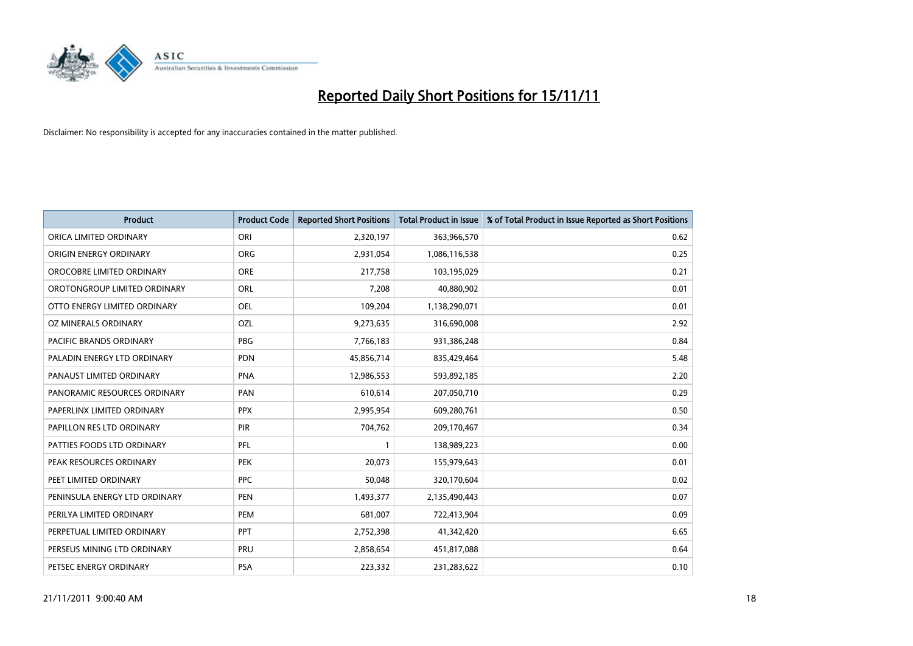

| <b>Product</b>                | <b>Product Code</b> | <b>Reported Short Positions</b> | <b>Total Product in Issue</b> | % of Total Product in Issue Reported as Short Positions |
|-------------------------------|---------------------|---------------------------------|-------------------------------|---------------------------------------------------------|
| ORICA LIMITED ORDINARY        | ORI                 | 2,320,197                       | 363,966,570                   | 0.62                                                    |
| ORIGIN ENERGY ORDINARY        | <b>ORG</b>          | 2,931,054                       | 1,086,116,538                 | 0.25                                                    |
| OROCOBRE LIMITED ORDINARY     | <b>ORE</b>          | 217,758                         | 103,195,029                   | 0.21                                                    |
| OROTONGROUP LIMITED ORDINARY  | <b>ORL</b>          | 7,208                           | 40,880,902                    | 0.01                                                    |
| OTTO ENERGY LIMITED ORDINARY  | <b>OEL</b>          | 109,204                         | 1,138,290,071                 | 0.01                                                    |
| OZ MINERALS ORDINARY          | OZL                 | 9,273,635                       | 316,690,008                   | 2.92                                                    |
| PACIFIC BRANDS ORDINARY       | <b>PBG</b>          | 7,766,183                       | 931,386,248                   | 0.84                                                    |
| PALADIN ENERGY LTD ORDINARY   | <b>PDN</b>          | 45,856,714                      | 835,429,464                   | 5.48                                                    |
| PANAUST LIMITED ORDINARY      | <b>PNA</b>          | 12,986,553                      | 593,892,185                   | 2.20                                                    |
| PANORAMIC RESOURCES ORDINARY  | PAN                 | 610,614                         | 207,050,710                   | 0.29                                                    |
| PAPERLINX LIMITED ORDINARY    | <b>PPX</b>          | 2,995,954                       | 609,280,761                   | 0.50                                                    |
| PAPILLON RES LTD ORDINARY     | <b>PIR</b>          | 704,762                         | 209,170,467                   | 0.34                                                    |
| PATTIES FOODS LTD ORDINARY    | PFL                 |                                 | 138,989,223                   | 0.00                                                    |
| PEAK RESOURCES ORDINARY       | <b>PEK</b>          | 20,073                          | 155,979,643                   | 0.01                                                    |
| PEET LIMITED ORDINARY         | <b>PPC</b>          | 50,048                          | 320,170,604                   | 0.02                                                    |
| PENINSULA ENERGY LTD ORDINARY | <b>PEN</b>          | 1,493,377                       | 2,135,490,443                 | 0.07                                                    |
| PERILYA LIMITED ORDINARY      | PEM                 | 681,007                         | 722,413,904                   | 0.09                                                    |
| PERPETUAL LIMITED ORDINARY    | PPT                 | 2,752,398                       | 41,342,420                    | 6.65                                                    |
| PERSEUS MINING LTD ORDINARY   | PRU                 | 2,858,654                       | 451,817,088                   | 0.64                                                    |
| PETSEC ENERGY ORDINARY        | <b>PSA</b>          | 223,332                         | 231,283,622                   | 0.10                                                    |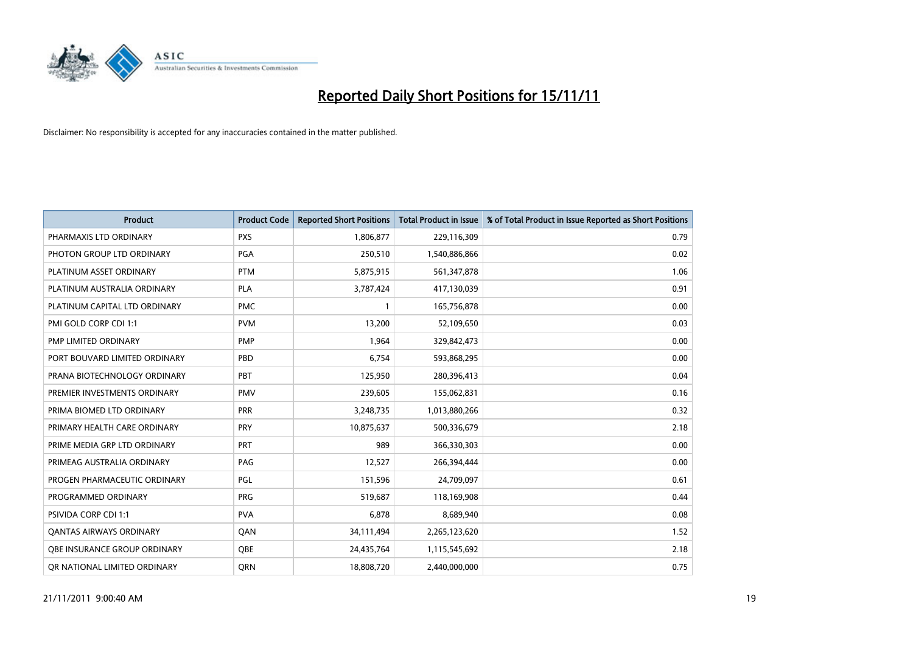

| <b>Product</b>                 | <b>Product Code</b> | <b>Reported Short Positions</b> | <b>Total Product in Issue</b> | % of Total Product in Issue Reported as Short Positions |
|--------------------------------|---------------------|---------------------------------|-------------------------------|---------------------------------------------------------|
| PHARMAXIS LTD ORDINARY         | <b>PXS</b>          | 1,806,877                       | 229,116,309                   | 0.79                                                    |
| PHOTON GROUP LTD ORDINARY      | <b>PGA</b>          | 250,510                         | 1,540,886,866                 | 0.02                                                    |
| PLATINUM ASSET ORDINARY        | <b>PTM</b>          | 5,875,915                       | 561,347,878                   | 1.06                                                    |
| PLATINUM AUSTRALIA ORDINARY    | PLA                 | 3,787,424                       | 417,130,039                   | 0.91                                                    |
| PLATINUM CAPITAL LTD ORDINARY  | <b>PMC</b>          |                                 | 165,756,878                   | 0.00                                                    |
| PMI GOLD CORP CDI 1:1          | <b>PVM</b>          | 13,200                          | 52,109,650                    | 0.03                                                    |
| PMP LIMITED ORDINARY           | <b>PMP</b>          | 1.964                           | 329,842,473                   | 0.00                                                    |
| PORT BOUVARD LIMITED ORDINARY  | PBD                 | 6,754                           | 593,868,295                   | 0.00                                                    |
| PRANA BIOTECHNOLOGY ORDINARY   | PBT                 | 125,950                         | 280,396,413                   | 0.04                                                    |
| PREMIER INVESTMENTS ORDINARY   | <b>PMV</b>          | 239,605                         | 155,062,831                   | 0.16                                                    |
| PRIMA BIOMED LTD ORDINARY      | <b>PRR</b>          | 3,248,735                       | 1,013,880,266                 | 0.32                                                    |
| PRIMARY HEALTH CARE ORDINARY   | PRY                 | 10,875,637                      | 500,336,679                   | 2.18                                                    |
| PRIME MEDIA GRP LTD ORDINARY   | PRT                 | 989                             | 366,330,303                   | 0.00                                                    |
| PRIMEAG AUSTRALIA ORDINARY     | PAG                 | 12,527                          | 266,394,444                   | 0.00                                                    |
| PROGEN PHARMACEUTIC ORDINARY   | PGL                 | 151,596                         | 24,709,097                    | 0.61                                                    |
| PROGRAMMED ORDINARY            | <b>PRG</b>          | 519,687                         | 118,169,908                   | 0.44                                                    |
| <b>PSIVIDA CORP CDI 1:1</b>    | <b>PVA</b>          | 6,878                           | 8,689,940                     | 0.08                                                    |
| <b>QANTAS AIRWAYS ORDINARY</b> | QAN                 | 34,111,494                      | 2,265,123,620                 | 1.52                                                    |
| OBE INSURANCE GROUP ORDINARY   | <b>OBE</b>          | 24,435,764                      | 1,115,545,692                 | 2.18                                                    |
| OR NATIONAL LIMITED ORDINARY   | ORN                 | 18,808,720                      | 2,440,000,000                 | 0.75                                                    |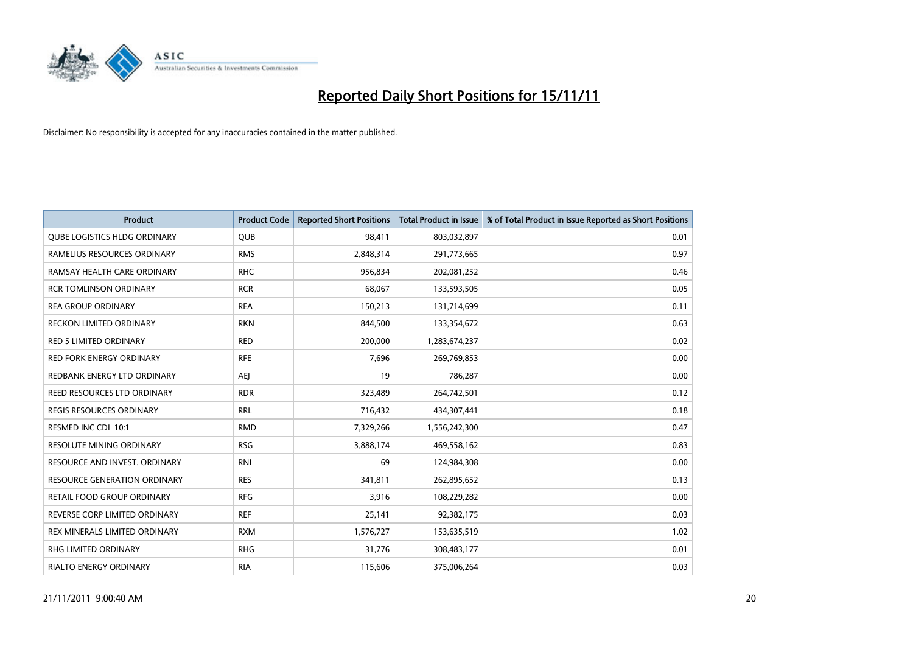

| <b>Product</b>                      | <b>Product Code</b> | <b>Reported Short Positions</b> | Total Product in Issue | % of Total Product in Issue Reported as Short Positions |
|-------------------------------------|---------------------|---------------------------------|------------------------|---------------------------------------------------------|
| <b>QUBE LOGISTICS HLDG ORDINARY</b> | <b>QUB</b>          | 98,411                          | 803,032,897            | 0.01                                                    |
| RAMELIUS RESOURCES ORDINARY         | <b>RMS</b>          | 2,848,314                       | 291,773,665            | 0.97                                                    |
| RAMSAY HEALTH CARE ORDINARY         | <b>RHC</b>          | 956,834                         | 202,081,252            | 0.46                                                    |
| <b>RCR TOMLINSON ORDINARY</b>       | <b>RCR</b>          | 68,067                          | 133,593,505            | 0.05                                                    |
| <b>REA GROUP ORDINARY</b>           | <b>REA</b>          | 150,213                         | 131,714,699            | 0.11                                                    |
| <b>RECKON LIMITED ORDINARY</b>      | <b>RKN</b>          | 844,500                         | 133,354,672            | 0.63                                                    |
| <b>RED 5 LIMITED ORDINARY</b>       | <b>RED</b>          | 200.000                         | 1,283,674,237          | 0.02                                                    |
| RED FORK ENERGY ORDINARY            | <b>RFE</b>          | 7,696                           | 269,769,853            | 0.00                                                    |
| REDBANK ENERGY LTD ORDINARY         | AEI                 | 19                              | 786,287                | 0.00                                                    |
| REED RESOURCES LTD ORDINARY         | <b>RDR</b>          | 323,489                         | 264,742,501            | 0.12                                                    |
| REGIS RESOURCES ORDINARY            | <b>RRL</b>          | 716,432                         | 434,307,441            | 0.18                                                    |
| RESMED INC CDI 10:1                 | <b>RMD</b>          | 7,329,266                       | 1,556,242,300          | 0.47                                                    |
| RESOLUTE MINING ORDINARY            | <b>RSG</b>          | 3,888,174                       | 469,558,162            | 0.83                                                    |
| RESOURCE AND INVEST. ORDINARY       | <b>RNI</b>          | 69                              | 124,984,308            | 0.00                                                    |
| <b>RESOURCE GENERATION ORDINARY</b> | <b>RES</b>          | 341,811                         | 262,895,652            | 0.13                                                    |
| RETAIL FOOD GROUP ORDINARY          | <b>RFG</b>          | 3,916                           | 108,229,282            | 0.00                                                    |
| REVERSE CORP LIMITED ORDINARY       | <b>REF</b>          | 25,141                          | 92,382,175             | 0.03                                                    |
| REX MINERALS LIMITED ORDINARY       | <b>RXM</b>          | 1,576,727                       | 153,635,519            | 1.02                                                    |
| <b>RHG LIMITED ORDINARY</b>         | <b>RHG</b>          | 31,776                          | 308,483,177            | 0.01                                                    |
| <b>RIALTO ENERGY ORDINARY</b>       | <b>RIA</b>          | 115,606                         | 375,006,264            | 0.03                                                    |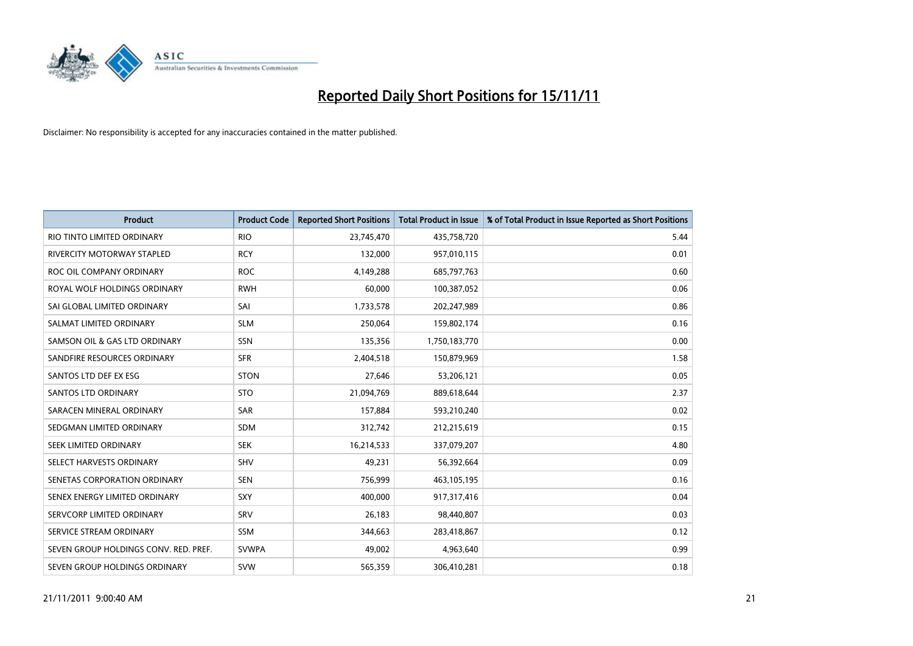

| <b>Product</b>                        | <b>Product Code</b> | <b>Reported Short Positions</b> | <b>Total Product in Issue</b> | % of Total Product in Issue Reported as Short Positions |
|---------------------------------------|---------------------|---------------------------------|-------------------------------|---------------------------------------------------------|
| RIO TINTO LIMITED ORDINARY            | <b>RIO</b>          | 23,745,470                      | 435,758,720                   | 5.44                                                    |
| RIVERCITY MOTORWAY STAPLED            | <b>RCY</b>          | 132,000                         | 957,010,115                   | 0.01                                                    |
| ROC OIL COMPANY ORDINARY              | <b>ROC</b>          | 4,149,288                       | 685,797,763                   | 0.60                                                    |
| ROYAL WOLF HOLDINGS ORDINARY          | <b>RWH</b>          | 60,000                          | 100,387,052                   | 0.06                                                    |
| SAI GLOBAL LIMITED ORDINARY           | SAI                 | 1,733,578                       | 202,247,989                   | 0.86                                                    |
| SALMAT LIMITED ORDINARY               | <b>SLM</b>          | 250,064                         | 159,802,174                   | 0.16                                                    |
| SAMSON OIL & GAS LTD ORDINARY         | SSN                 | 135,356                         | 1,750,183,770                 | 0.00                                                    |
| SANDFIRE RESOURCES ORDINARY           | <b>SFR</b>          | 2,404,518                       | 150,879,969                   | 1.58                                                    |
| SANTOS LTD DEF EX ESG                 | <b>STON</b>         | 27,646                          | 53,206,121                    | 0.05                                                    |
| <b>SANTOS LTD ORDINARY</b>            | <b>STO</b>          | 21,094,769                      | 889,618,644                   | 2.37                                                    |
| SARACEN MINERAL ORDINARY              | SAR                 | 157,884                         | 593,210,240                   | 0.02                                                    |
| SEDGMAN LIMITED ORDINARY              | <b>SDM</b>          | 312,742                         | 212,215,619                   | 0.15                                                    |
| <b>SEEK LIMITED ORDINARY</b>          | <b>SEK</b>          | 16,214,533                      | 337,079,207                   | 4.80                                                    |
| SELECT HARVESTS ORDINARY              | SHV                 | 49,231                          | 56,392,664                    | 0.09                                                    |
| SENETAS CORPORATION ORDINARY          | <b>SEN</b>          | 756,999                         | 463,105,195                   | 0.16                                                    |
| SENEX ENERGY LIMITED ORDINARY         | SXY                 | 400,000                         | 917,317,416                   | 0.04                                                    |
| SERVCORP LIMITED ORDINARY             | SRV                 | 26,183                          | 98,440,807                    | 0.03                                                    |
| SERVICE STREAM ORDINARY               | <b>SSM</b>          | 344,663                         | 283,418,867                   | 0.12                                                    |
| SEVEN GROUP HOLDINGS CONV. RED. PREF. | <b>SVWPA</b>        | 49,002                          | 4,963,640                     | 0.99                                                    |
| SEVEN GROUP HOLDINGS ORDINARY         | <b>SVW</b>          | 565,359                         | 306,410,281                   | 0.18                                                    |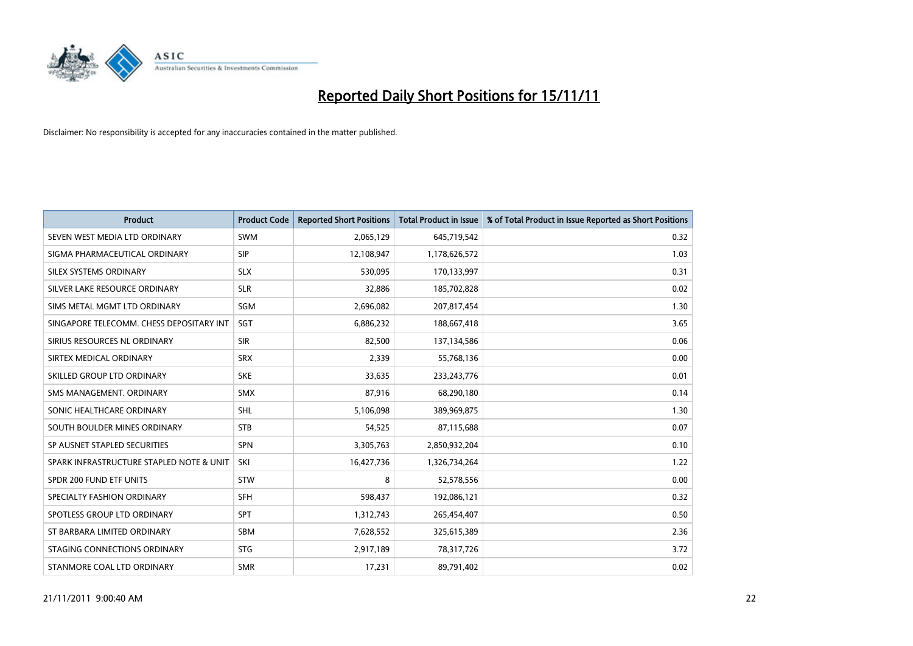

| <b>Product</b>                           | <b>Product Code</b> | <b>Reported Short Positions</b> | <b>Total Product in Issue</b> | % of Total Product in Issue Reported as Short Positions |
|------------------------------------------|---------------------|---------------------------------|-------------------------------|---------------------------------------------------------|
| SEVEN WEST MEDIA LTD ORDINARY            | <b>SWM</b>          | 2,065,129                       | 645,719,542                   | 0.32                                                    |
| SIGMA PHARMACEUTICAL ORDINARY            | <b>SIP</b>          | 12,108,947                      | 1,178,626,572                 | 1.03                                                    |
| <b>SILEX SYSTEMS ORDINARY</b>            | <b>SLX</b>          | 530,095                         | 170,133,997                   | 0.31                                                    |
| SILVER LAKE RESOURCE ORDINARY            | <b>SLR</b>          | 32,886                          | 185,702,828                   | 0.02                                                    |
| SIMS METAL MGMT LTD ORDINARY             | SGM                 | 2,696,082                       | 207,817,454                   | 1.30                                                    |
| SINGAPORE TELECOMM. CHESS DEPOSITARY INT | SGT                 | 6,886,232                       | 188,667,418                   | 3.65                                                    |
| SIRIUS RESOURCES NL ORDINARY             | <b>SIR</b>          | 82,500                          | 137,134,586                   | 0.06                                                    |
| SIRTEX MEDICAL ORDINARY                  | <b>SRX</b>          | 2,339                           | 55,768,136                    | 0.00                                                    |
| SKILLED GROUP LTD ORDINARY               | <b>SKE</b>          | 33,635                          | 233, 243, 776                 | 0.01                                                    |
| SMS MANAGEMENT, ORDINARY                 | <b>SMX</b>          | 87,916                          | 68,290,180                    | 0.14                                                    |
| SONIC HEALTHCARE ORDINARY                | <b>SHL</b>          | 5,106,098                       | 389,969,875                   | 1.30                                                    |
| SOUTH BOULDER MINES ORDINARY             | <b>STB</b>          | 54,525                          | 87,115,688                    | 0.07                                                    |
| SP AUSNET STAPLED SECURITIES             | <b>SPN</b>          | 3,305,763                       | 2,850,932,204                 | 0.10                                                    |
| SPARK INFRASTRUCTURE STAPLED NOTE & UNIT | SKI                 | 16,427,736                      | 1,326,734,264                 | 1.22                                                    |
| SPDR 200 FUND ETF UNITS                  | <b>STW</b>          | 8                               | 52,578,556                    | 0.00                                                    |
| SPECIALTY FASHION ORDINARY               | <b>SFH</b>          | 598,437                         | 192,086,121                   | 0.32                                                    |
| SPOTLESS GROUP LTD ORDINARY              | <b>SPT</b>          | 1,312,743                       | 265,454,407                   | 0.50                                                    |
| ST BARBARA LIMITED ORDINARY              | <b>SBM</b>          | 7,628,552                       | 325,615,389                   | 2.36                                                    |
| STAGING CONNECTIONS ORDINARY             | <b>STG</b>          | 2,917,189                       | 78,317,726                    | 3.72                                                    |
| STANMORE COAL LTD ORDINARY               | <b>SMR</b>          | 17,231                          | 89,791,402                    | 0.02                                                    |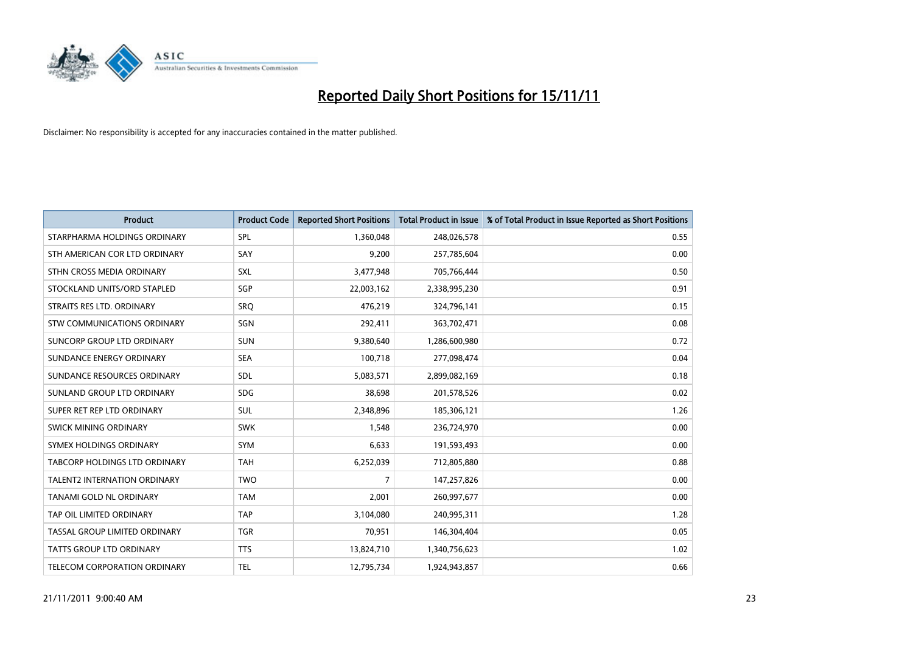

| <b>Product</b>                       | <b>Product Code</b> | <b>Reported Short Positions</b> | <b>Total Product in Issue</b> | % of Total Product in Issue Reported as Short Positions |
|--------------------------------------|---------------------|---------------------------------|-------------------------------|---------------------------------------------------------|
| STARPHARMA HOLDINGS ORDINARY         | SPL                 | 1,360,048                       | 248,026,578                   | 0.55                                                    |
| STH AMERICAN COR LTD ORDINARY        | SAY                 | 9,200                           | 257,785,604                   | 0.00                                                    |
| STHN CROSS MEDIA ORDINARY            | <b>SXL</b>          | 3,477,948                       | 705,766,444                   | 0.50                                                    |
| STOCKLAND UNITS/ORD STAPLED          | <b>SGP</b>          | 22,003,162                      | 2,338,995,230                 | 0.91                                                    |
| STRAITS RES LTD. ORDINARY            | SRO                 | 476,219                         | 324,796,141                   | 0.15                                                    |
| <b>STW COMMUNICATIONS ORDINARY</b>   | SGN                 | 292,411                         | 363,702,471                   | 0.08                                                    |
| SUNCORP GROUP LTD ORDINARY           | <b>SUN</b>          | 9,380,640                       | 1,286,600,980                 | 0.72                                                    |
| SUNDANCE ENERGY ORDINARY             | <b>SEA</b>          | 100,718                         | 277,098,474                   | 0.04                                                    |
| SUNDANCE RESOURCES ORDINARY          | <b>SDL</b>          | 5,083,571                       | 2,899,082,169                 | 0.18                                                    |
| SUNLAND GROUP LTD ORDINARY           | <b>SDG</b>          | 38,698                          | 201,578,526                   | 0.02                                                    |
| SUPER RET REP LTD ORDINARY           | <b>SUL</b>          | 2,348,896                       | 185,306,121                   | 1.26                                                    |
| <b>SWICK MINING ORDINARY</b>         | <b>SWK</b>          | 1,548                           | 236,724,970                   | 0.00                                                    |
| SYMEX HOLDINGS ORDINARY              | <b>SYM</b>          | 6,633                           | 191,593,493                   | 0.00                                                    |
| <b>TABCORP HOLDINGS LTD ORDINARY</b> | <b>TAH</b>          | 6,252,039                       | 712,805,880                   | 0.88                                                    |
| <b>TALENT2 INTERNATION ORDINARY</b>  | <b>TWO</b>          | 7                               | 147,257,826                   | 0.00                                                    |
| <b>TANAMI GOLD NL ORDINARY</b>       | <b>TAM</b>          | 2,001                           | 260,997,677                   | 0.00                                                    |
| TAP OIL LIMITED ORDINARY             | <b>TAP</b>          | 3,104,080                       | 240,995,311                   | 1.28                                                    |
| TASSAL GROUP LIMITED ORDINARY        | <b>TGR</b>          | 70,951                          | 146,304,404                   | 0.05                                                    |
| <b>TATTS GROUP LTD ORDINARY</b>      | <b>TTS</b>          | 13,824,710                      | 1,340,756,623                 | 1.02                                                    |
| TELECOM CORPORATION ORDINARY         | <b>TEL</b>          | 12,795,734                      | 1,924,943,857                 | 0.66                                                    |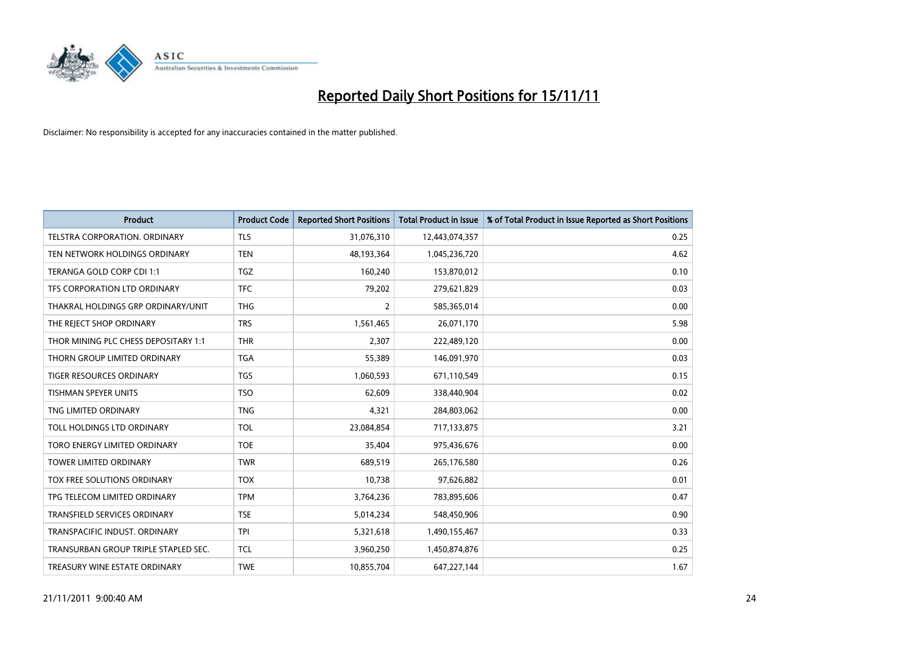

| <b>Product</b>                       | <b>Product Code</b> | <b>Reported Short Positions</b> | <b>Total Product in Issue</b> | % of Total Product in Issue Reported as Short Positions |
|--------------------------------------|---------------------|---------------------------------|-------------------------------|---------------------------------------------------------|
| TELSTRA CORPORATION, ORDINARY        | <b>TLS</b>          | 31,076,310                      | 12,443,074,357                | 0.25                                                    |
| TEN NETWORK HOLDINGS ORDINARY        | <b>TEN</b>          | 48,193,364                      | 1,045,236,720                 | 4.62                                                    |
| <b>TERANGA GOLD CORP CDI 1:1</b>     | <b>TGZ</b>          | 160,240                         | 153,870,012                   | 0.10                                                    |
| TFS CORPORATION LTD ORDINARY         | <b>TFC</b>          | 79,202                          | 279,621,829                   | 0.03                                                    |
| THAKRAL HOLDINGS GRP ORDINARY/UNIT   | <b>THG</b>          | 2                               | 585,365,014                   | 0.00                                                    |
| THE REJECT SHOP ORDINARY             | <b>TRS</b>          | 1,561,465                       | 26,071,170                    | 5.98                                                    |
| THOR MINING PLC CHESS DEPOSITARY 1:1 | <b>THR</b>          | 2,307                           | 222,489,120                   | 0.00                                                    |
| THORN GROUP LIMITED ORDINARY         | <b>TGA</b>          | 55,389                          | 146,091,970                   | 0.03                                                    |
| TIGER RESOURCES ORDINARY             | <b>TGS</b>          | 1,060,593                       | 671,110,549                   | 0.15                                                    |
| <b>TISHMAN SPEYER UNITS</b>          | <b>TSO</b>          | 62,609                          | 338,440,904                   | 0.02                                                    |
| TNG LIMITED ORDINARY                 | <b>TNG</b>          | 4,321                           | 284,803,062                   | 0.00                                                    |
| TOLL HOLDINGS LTD ORDINARY           | <b>TOL</b>          | 23,084,854                      | 717,133,875                   | 3.21                                                    |
| TORO ENERGY LIMITED ORDINARY         | <b>TOE</b>          | 35,404                          | 975,436,676                   | 0.00                                                    |
| <b>TOWER LIMITED ORDINARY</b>        | <b>TWR</b>          | 689,519                         | 265,176,580                   | 0.26                                                    |
| TOX FREE SOLUTIONS ORDINARY          | <b>TOX</b>          | 10,738                          | 97,626,882                    | 0.01                                                    |
| TPG TELECOM LIMITED ORDINARY         | <b>TPM</b>          | 3,764,236                       | 783,895,606                   | 0.47                                                    |
| <b>TRANSFIELD SERVICES ORDINARY</b>  | <b>TSE</b>          | 5,014,234                       | 548,450,906                   | 0.90                                                    |
| TRANSPACIFIC INDUST. ORDINARY        | <b>TPI</b>          | 5,321,618                       | 1,490,155,467                 | 0.33                                                    |
| TRANSURBAN GROUP TRIPLE STAPLED SEC. | <b>TCL</b>          | 3,960,250                       | 1,450,874,876                 | 0.25                                                    |
| TREASURY WINE ESTATE ORDINARY        | <b>TWE</b>          | 10,855,704                      | 647,227,144                   | 1.67                                                    |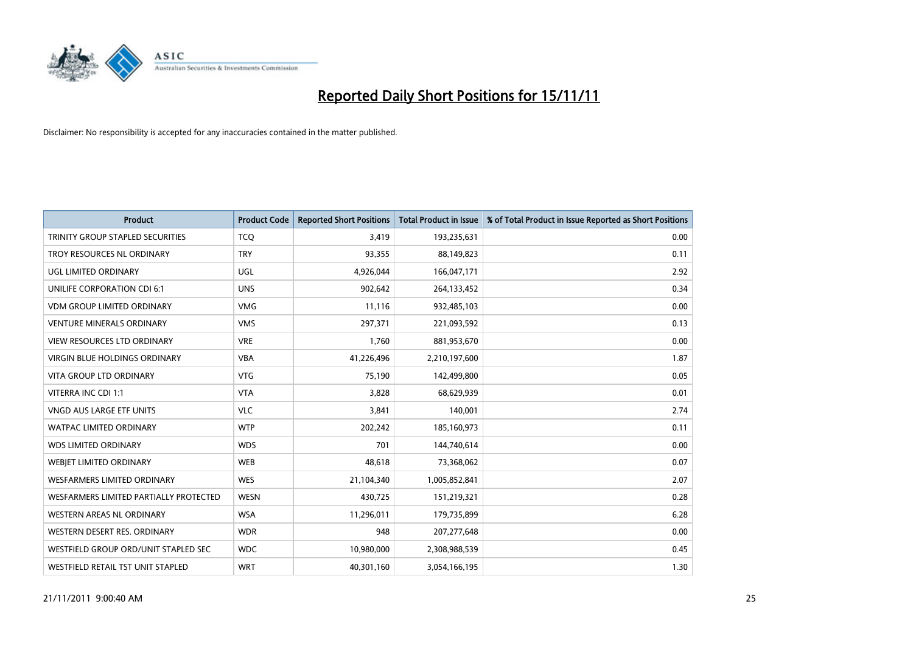

| <b>Product</b>                          | <b>Product Code</b> | <b>Reported Short Positions</b> | <b>Total Product in Issue</b> | % of Total Product in Issue Reported as Short Positions |
|-----------------------------------------|---------------------|---------------------------------|-------------------------------|---------------------------------------------------------|
| <b>TRINITY GROUP STAPLED SECURITIES</b> | <b>TCQ</b>          | 3,419                           | 193,235,631                   | 0.00                                                    |
| TROY RESOURCES NL ORDINARY              | <b>TRY</b>          | 93,355                          | 88,149,823                    | 0.11                                                    |
| UGL LIMITED ORDINARY                    | UGL                 | 4,926,044                       | 166,047,171                   | 2.92                                                    |
| UNILIFE CORPORATION CDI 6:1             | <b>UNS</b>          | 902,642                         | 264,133,452                   | 0.34                                                    |
| <b>VDM GROUP LIMITED ORDINARY</b>       | <b>VMG</b>          | 11,116                          | 932,485,103                   | 0.00                                                    |
| <b>VENTURE MINERALS ORDINARY</b>        | <b>VMS</b>          | 297,371                         | 221,093,592                   | 0.13                                                    |
| <b>VIEW RESOURCES LTD ORDINARY</b>      | <b>VRE</b>          | 1,760                           | 881,953,670                   | 0.00                                                    |
| VIRGIN BLUE HOLDINGS ORDINARY           | <b>VBA</b>          | 41,226,496                      | 2,210,197,600                 | 1.87                                                    |
| <b>VITA GROUP LTD ORDINARY</b>          | <b>VTG</b>          | 75,190                          | 142,499,800                   | 0.05                                                    |
| VITERRA INC CDI 1:1                     | <b>VTA</b>          | 3,828                           | 68,629,939                    | 0.01                                                    |
| VNGD AUS LARGE ETF UNITS                | <b>VLC</b>          | 3,841                           | 140,001                       | 2.74                                                    |
| <b>WATPAC LIMITED ORDINARY</b>          | <b>WTP</b>          | 202,242                         | 185,160,973                   | 0.11                                                    |
| <b>WDS LIMITED ORDINARY</b>             | <b>WDS</b>          | 701                             | 144,740,614                   | 0.00                                                    |
| WEBIET LIMITED ORDINARY                 | <b>WEB</b>          | 48,618                          | 73,368,062                    | 0.07                                                    |
| <b>WESFARMERS LIMITED ORDINARY</b>      | <b>WES</b>          | 21,104,340                      | 1,005,852,841                 | 2.07                                                    |
| WESFARMERS LIMITED PARTIALLY PROTECTED  | <b>WESN</b>         | 430,725                         | 151,219,321                   | 0.28                                                    |
| WESTERN AREAS NL ORDINARY               | <b>WSA</b>          | 11,296,011                      | 179,735,899                   | 6.28                                                    |
| WESTERN DESERT RES. ORDINARY            | <b>WDR</b>          | 948                             | 207,277,648                   | 0.00                                                    |
| WESTFIELD GROUP ORD/UNIT STAPLED SEC    | <b>WDC</b>          | 10,980,000                      | 2,308,988,539                 | 0.45                                                    |
| WESTFIELD RETAIL TST UNIT STAPLED       | <b>WRT</b>          | 40,301,160                      | 3,054,166,195                 | 1.30                                                    |